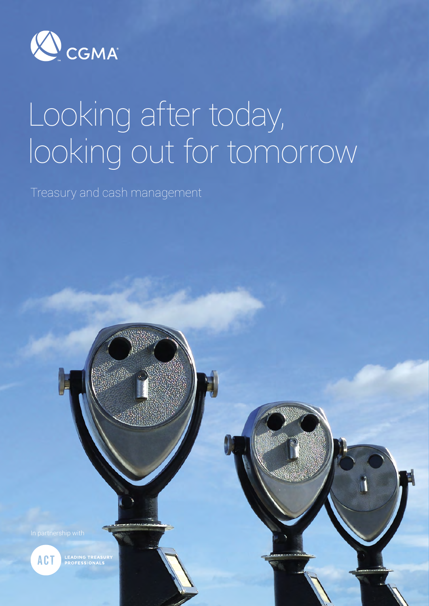

# Looking after today, looking out for tomorrow

1

Treasury and cash management

**Micro** C

**ACT** 

**LEADING TREASUR<br>PROFESSIONALS**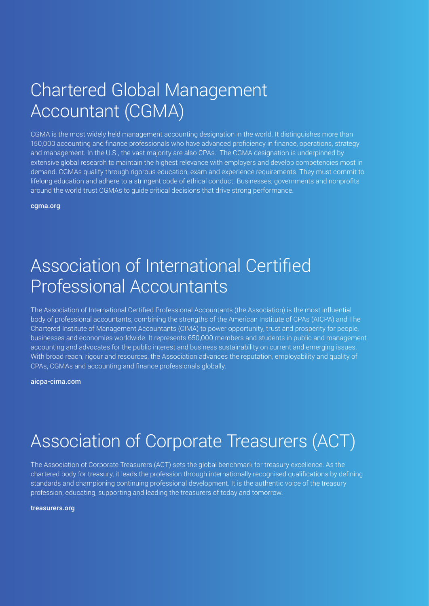### Chartered Global Management Accountant (CGMA)

CGMA is the most widely held management accounting designation in the world. It distinguishes more than 150,000 accounting and finance professionals who have advanced proficiency in finance, operations, strategy and management. In the U.S., the vast majority are also CPAs. The CGMA designation is underpinned by extensive global research to maintain the highest relevance with employers and develop competencies most in demand. CGMAs qualify through rigorous education, exam and experience requirements. They must commit to lifelong education and adhere to a stringent code of ethical conduct. Businesses, governments and nonprofits around the world trust CGMAs to guide critical decisions that drive strong performance.

[cgma.org](http://www.cgma.org)

### Association of International Certified Professional Accountants

The Association of International Certified Professional Accountants (the Association) is the most influential body of professional accountants, combining the strengths of the American Institute of CPAs (AICPA) and The Chartered Institute of Management Accountants (CIMA) to power opportunity, trust and prosperity for people, businesses and economies worldwide. It represents 650,000 members and students in public and management accounting and advocates for the public interest and business sustainability on current and emerging issues. With broad reach, rigour and resources, the Association advances the reputation, employability and quality of CPAs, CGMAs and accounting and finance professionals globally.

[aicpa-cima.com](http://www.aicpa-cima.com)

# Association of Corporate Treasurers (ACT)

The Association of Corporate Treasurers (ACT) sets the global benchmark for treasury excellence. As the chartered body for treasury, it leads the profession through internationally recognised qualifications by defining standards and championing continuing professional development. It is the authentic voice of the treasury profession, educating, supporting and leading the treasurers of today and tomorrow.

[treasurers.org](http://www.treasurers.org)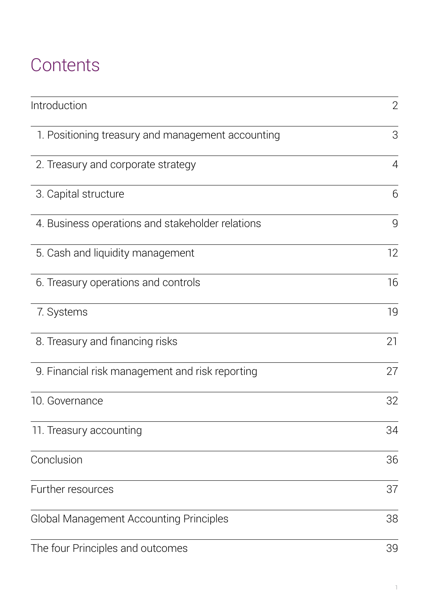# **Contents**

| Introduction                                      | $\overline{2}$ |
|---------------------------------------------------|----------------|
| 1. Positioning treasury and management accounting | 3              |
| 2. Treasury and corporate strategy                | $\overline{4}$ |
| 3. Capital structure                              | 6              |
| 4. Business operations and stakeholder relations  | 9              |
| 5. Cash and liquidity management                  | 12             |
| 6. Treasury operations and controls               | 16             |
| 7. Systems                                        | 19             |
| 8. Treasury and financing risks                   | 21             |
| 9. Financial risk management and risk reporting   | 27             |
| 10. Governance                                    | 32             |
| 11. Treasury accounting                           | 34             |
| Conclusion                                        | 36             |
| Further resources                                 | 37             |
| <b>Global Management Accounting Principles</b>    | 38             |
| The four Principles and outcomes                  | 39             |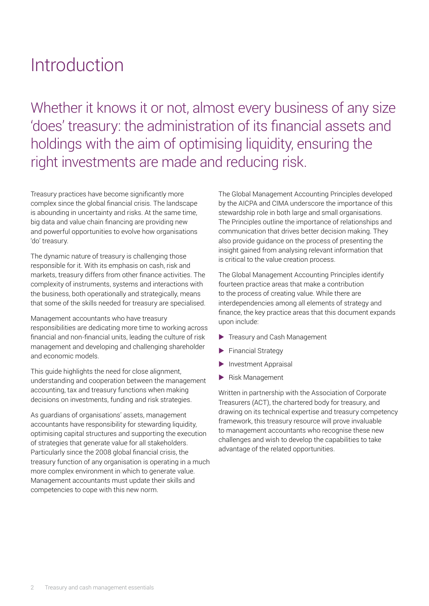## <span id="page-3-0"></span>Introduction

Whether it knows it or not, almost every business of any size 'does' treasury: the administration of its financial assets and holdings with the aim of optimising liquidity, ensuring the right investments are made and reducing risk.

Treasury practices have become significantly more complex since the global financial crisis. The landscape is abounding in uncertainty and risks. At the same time, big data and value chain financing are providing new and powerful opportunities to evolve how organisations 'do' treasury.

The dynamic nature of treasury is challenging those responsible for it. With its emphasis on cash, risk and markets, treasury differs from other finance activities. The complexity of instruments, systems and interactions with the business, both operationally and strategically, means that some of the skills needed for treasury are specialised.

Management accountants who have treasury responsibilities are dedicating more time to working across financial and non-financial units, leading the culture of risk management and developing and challenging shareholder and economic models.

This guide highlights the need for close alignment, understanding and cooperation between the management accounting, tax and treasury functions when making decisions on investments, funding and risk strategies.

As guardians of organisations' assets, management accountants have responsibility for stewarding liquidity, optimising capital structures and supporting the execution of strategies that generate value for all stakeholders. Particularly since the 2008 global financial crisis, the treasury function of any organisation is operating in a much more complex environment in which to generate value. Management accountants must update their skills and competencies to cope with this new norm.

The Global Management Accounting Principles developed by the AICPA and CIMA underscore the importance of this stewardship role in both large and small organisations. The Principles outline the importance of relationships and communication that drives better decision making. They also provide guidance on the process of presenting the insight gained from analysing relevant information that is critical to the value creation process.

The Global Management Accounting Principles identify fourteen practice areas that make a contribution to the process of creating value. While there are interdependencies among all elements of strategy and finance, the key practice areas that this document expands upon include:

- Treasury and Cash Management
- $\blacktriangleright$  Financial Strategy
- $\blacktriangleright$  Investment Appraisal
- $\blacktriangleright$  Risk Management

Written in partnership with the Association of Corporate Treasurers (ACT), the chartered body for treasury, and drawing on its technical expertise and treasury competency framework, this treasury resource will prove invaluable to management accountants who recognise these new challenges and wish to develop the capabilities to take advantage of the related opportunities.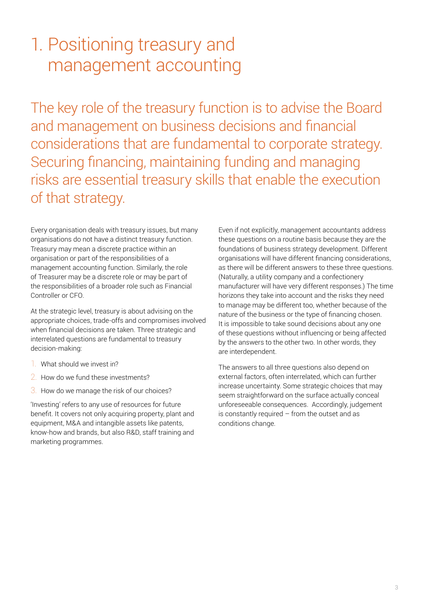### <span id="page-4-0"></span>1. Positioning treasury and management accounting

The key role of the treasury function is to advise the Board and management on business decisions and financial considerations that are fundamental to corporate strategy. Securing financing, maintaining funding and managing risks are essential treasury skills that enable the execution of that strategy.

Every organisation deals with treasury issues, but many organisations do not have a distinct treasury function. Treasury may mean a discrete practice within an organisation or part of the responsibilities of a management accounting function. Similarly, the role of Treasurer may be a discrete role or may be part of the responsibilities of a broader role such as Financial Controller or CFO.

At the strategic level, treasury is about advising on the appropriate choices, trade-offs and compromises involved when financial decisions are taken. Three strategic and interrelated questions are fundamental to treasury decision-making:

- 1. What should we invest in?
- 2. How do we fund these investments?
- 3. How do we manage the risk of our choices?

'Investing' refers to any use of resources for future benefit. It covers not only acquiring property, plant and equipment, M&A and intangible assets like patents, know-how and brands, but also R&D, staff training and marketing programmes.

Even if not explicitly, management accountants address these questions on a routine basis because they are the foundations of business strategy development. Different organisations will have different financing considerations, as there will be different answers to these three questions. (Naturally, a utility company and a confectionery manufacturer will have very different responses.) The time horizons they take into account and the risks they need to manage may be different too, whether because of the nature of the business or the type of financing chosen. It is impossible to take sound decisions about any one of these questions without influencing or being affected by the answers to the other two. In other words, they are interdependent.

The answers to all three questions also depend on external factors, often interrelated, which can further increase uncertainty. Some strategic choices that may seem straightforward on the surface actually conceal unforeseeable consequences. Accordingly, judgement is constantly required – from the outset and as conditions change.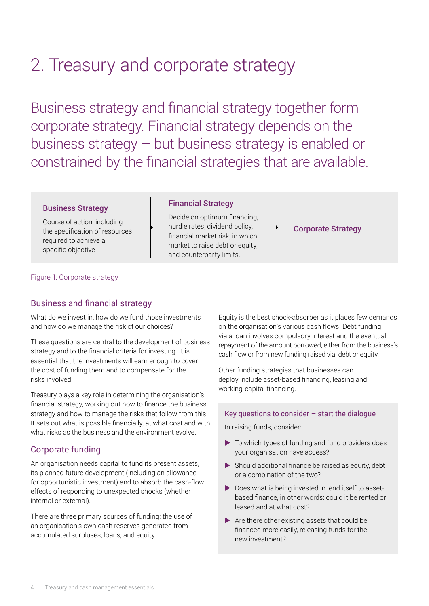# <span id="page-5-0"></span>2. Treasury and corporate strategy

Business strategy and financial strategy together form corporate strategy. Financial strategy depends on the business strategy – but business strategy is enabled or constrained by the financial strategies that are available.

#### Business Strategy

Course of action, including the specification of resources required to achieve a specific objective

#### Financial Strategy

Decide on optimum financing, hurdle rates, dividend policy, financial market risk, in which market to raise debt or equity, and counterparty limits.

#### Corporate Strategy

Figure 1: Corporate strategy

#### Business and financial strategy

What do we invest in, how do we fund those investments and how do we manage the risk of our choices?

These questions are central to the development of business strategy and to the financial criteria for investing. It is essential that the investments will earn enough to cover the cost of funding them and to compensate for the risks involved.

Treasury plays a key role in determining the organisation's financial strategy, working out how to finance the business strategy and how to manage the risks that follow from this. It sets out what is possible financially, at what cost and with what risks as the business and the environment evolve.

#### Corporate funding

An organisation needs capital to fund its present assets, its planned future development (including an allowance for opportunistic investment) and to absorb the cash-flow effects of responding to unexpected shocks (whether internal or external).

There are three primary sources of funding: the use of an organisation's own cash reserves generated from accumulated surpluses; loans; and equity.

Equity is the best shock-absorber as it places few demands on the organisation's various cash flows. Debt funding via a loan involves compulsory interest and the eventual repayment of the amount borrowed, either from the business's cash flow or from new funding raised via debt or equity.

Other funding strategies that businesses can deploy include asset-based financing, leasing and working-capital financing.

#### Key questions to consider – start the dialogue

In raising funds, consider:

- $\blacktriangleright$  To which types of funding and fund providers does your organisation have access?
- $\blacktriangleright$  Should additional finance be raised as equity, debt or a combination of the two?
- $\triangleright$  Does what is being invested in lend itself to assetbased finance, in other words: could it be rented or leased and at what cost?
- $\blacktriangleright$  Are there other existing assets that could be financed more easily, releasing funds for the new investment?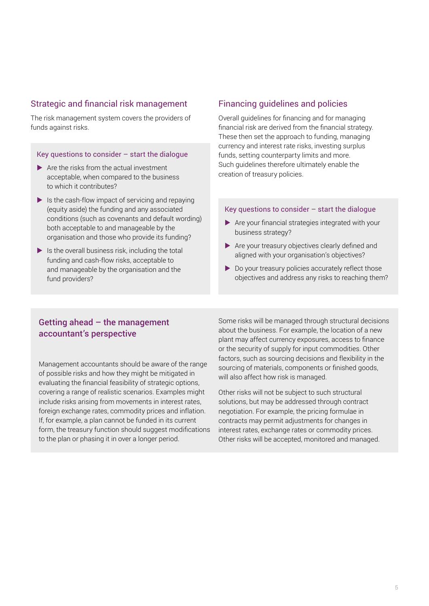#### Strategic and financial risk management

The risk management system covers the providers of funds against risks.

#### Key questions to consider  $-$  start the dialogue

- $\blacktriangleright$  Are the risks from the actual investment acceptable, when compared to the business to which it contributes?
- $\blacktriangleright$  Is the cash-flow impact of servicing and repaying (equity aside) the funding and any associated conditions (such as covenants and default wording) both acceptable to and manageable by the organisation and those who provide its funding?
- $\blacktriangleright$  Is the overall business risk, including the total funding and cash-flow risks, acceptable to and manageable by the organisation and the fund providers?

#### Financing guidelines and policies

Overall guidelines for financing and for managing financial risk are derived from the financial strategy. These then set the approach to funding, managing currency and interest rate risks, investing surplus funds, setting counterparty limits and more. Such guidelines therefore ultimately enable the creation of treasury policies.

#### Key questions to consider – start the dialogue

- $\blacktriangleright$  Are your financial strategies integrated with your business strategy?
- $\blacktriangleright$  Are your treasury objectives clearly defined and aligned with your organisation's objectives?
- $\blacktriangleright$  Do your treasury policies accurately reflect those objectives and address any risks to reaching them?

#### Getting ahead  $-$  the management accountant's perspective

Management accountants should be aware of the range of possible risks and how they might be mitigated in evaluating the financial feasibility of strategic options, covering a range of realistic scenarios. Examples might include risks arising from movements in interest rates, foreign exchange rates, commodity prices and inflation. If, for example, a plan cannot be funded in its current form, the treasury function should suggest modifications to the plan or phasing it in over a longer period.

Some risks will be managed through structural decisions about the business. For example, the location of a new plant may affect currency exposures, access to finance or the security of supply for input commodities. Other factors, such as sourcing decisions and flexibility in the sourcing of materials, components or finished goods, will also affect how risk is managed.

Other risks will not be subject to such structural solutions, but may be addressed through contract negotiation. For example, the pricing formulae in contracts may permit adjustments for changes in interest rates, exchange rates or commodity prices. Other risks will be accepted, monitored and managed.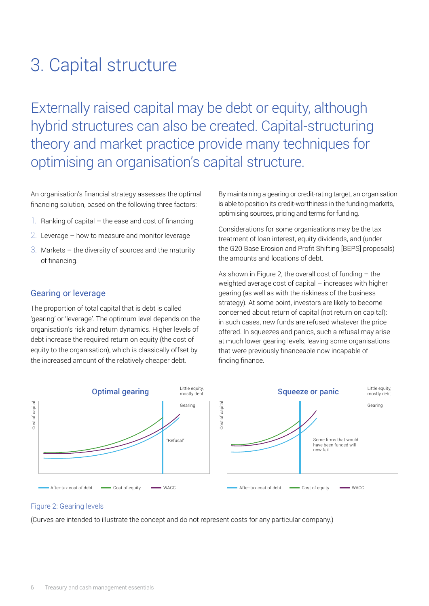# <span id="page-7-0"></span>3. Capital structure

Externally raised capital may be debt or equity, although hybrid structures can also be created. Capital-structuring theory and market practice provide many techniques for optimising an organisation's capital structure.

An organisation's financial strategy assesses the optimal financing solution, based on the following three factors:

- 1. Ranking of capital the ease and cost of financing
- 2. Leverage how to measure and monitor leverage
- 3. Markets the diversity of sources and the maturity of financing.

#### Gearing or leverage

The proportion of total capital that is debt is called 'gearing' or 'leverage'. The optimum level depends on the organisation's risk and return dynamics. Higher levels of debt increase the required return on equity (the cost of equity to the organisation), which is classically offset by the increased amount of the relatively cheaper debt.

By maintaining a gearing or credit-rating target, an organisation is able to position its credit-worthiness in the funding markets, optimising sources, pricing and terms for funding.

Considerations for some organisations may be the tax treatment of loan interest, equity dividends, and (under the G20 Base Erosion and Profit Shifting [BEPS] proposals) the amounts and locations of debt.

As shown in Figure 2, the overall cost of funding – the weighted average cost of capital – increases with higher gearing (as well as with the riskiness of the business strategy). At some point, investors are likely to become concerned about return of capital (not return on capital): in such cases, new funds are refused whatever the price offered. In squeezes and panics, such a refusal may arise at much lower gearing levels, leaving some organisations that were previously financeable now incapable of finding finance.



#### Figure 2: Gearing levels

(Curves are intended to illustrate the concept and do not represent costs for any particular company.)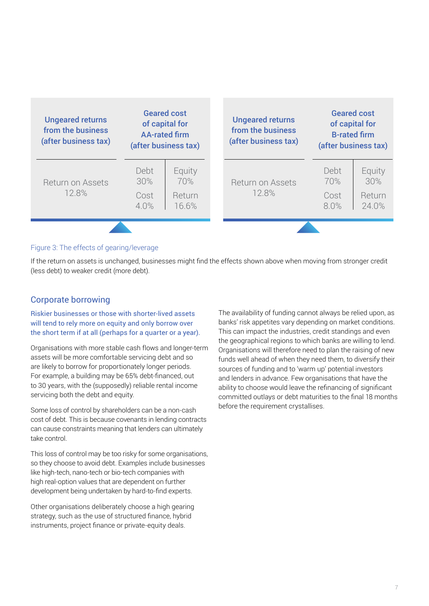| <b>Ungeared returns</b><br>from the business<br>(after business tax) | <b>Geared cost</b><br>of capital for<br><b>AA-rated firm</b><br>(after business tax) |                 | <b>Ungeared returns</b><br>from the business<br>(after business tax) |              | <b>Geared cost</b><br>of capital for<br><b>B-rated firm</b><br>(after business tax) |
|----------------------------------------------------------------------|--------------------------------------------------------------------------------------|-----------------|----------------------------------------------------------------------|--------------|-------------------------------------------------------------------------------------|
| Return on Assets                                                     | Debt<br>30%                                                                          | Equity<br>70%   | <b>Return on Assets</b>                                              | Debt<br>70%  | Equity<br>30%                                                                       |
| 12.8%                                                                | Cost<br>4.0%                                                                         | Return<br>16.6% | 12.8%                                                                | Cost<br>8.0% | Return<br>24.0%                                                                     |
|                                                                      |                                                                                      |                 |                                                                      |              |                                                                                     |

#### Figure 3: The effects of gearing/leverage

If the return on assets is unchanged, businesses might find the effects shown above when moving from stronger credit (less debt) to weaker credit (more debt).

#### Corporate borrowing

Riskier businesses or those with shorter-lived assets will tend to rely more on equity and only borrow over the short term if at all (perhaps for a quarter or a year).

Organisations with more stable cash flows and longer-term assets will be more comfortable servicing debt and so are likely to borrow for proportionately longer periods. For example, a building may be 65% debt-financed, out to 30 years, with the (supposedly) reliable rental income servicing both the debt and equity.

Some loss of control by shareholders can be a non-cash cost of debt. This is because covenants in lending contracts can cause constraints meaning that lenders can ultimately take control.

This loss of control may be too risky for some organisations, so they choose to avoid debt. Examples include businesses like high-tech, nano-tech or bio-tech companies with high real-option values that are dependent on further development being undertaken by hard-to-find experts.

Other organisations deliberately choose a high gearing strategy, such as the use of structured finance, hybrid instruments, project finance or private-equity deals.

The availability of funding cannot always be relied upon, as banks' risk appetites vary depending on market conditions. This can impact the industries, credit standings and even the geographical regions to which banks are willing to lend. Organisations will therefore need to plan the raising of new funds well ahead of when they need them, to diversify their sources of funding and to 'warm up' potential investors and lenders in advance. Few organisations that have the ability to choose would leave the refinancing of significant committed outlays or debt maturities to the final 18 months before the requirement crystallises.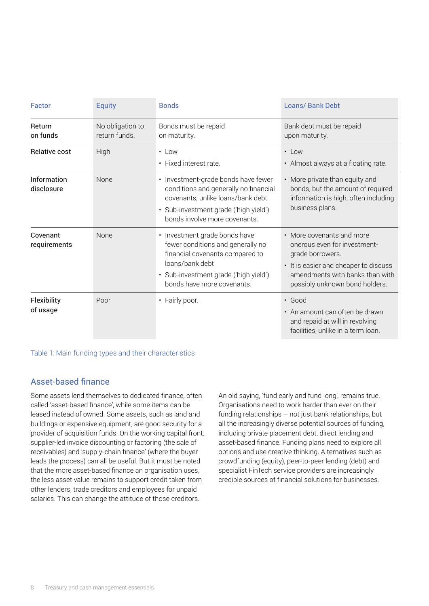| Factor                    | <b>Equity</b>                     | <b>Bonds</b>                                                                                                                                                                                    | <b>Loans/ Bank Debt</b>                                                                                                                                                                     |
|---------------------------|-----------------------------------|-------------------------------------------------------------------------------------------------------------------------------------------------------------------------------------------------|---------------------------------------------------------------------------------------------------------------------------------------------------------------------------------------------|
| Return<br>on funds        | No obligation to<br>return funds. | Bonds must be repaid<br>on maturity.                                                                                                                                                            | Bank debt must be repaid<br>upon maturity.                                                                                                                                                  |
| Relative cost             | High                              | $\cdot$ Low<br>• Fixed interest rate.                                                                                                                                                           | $\cdot$ Low<br>• Almost always at a floating rate.                                                                                                                                          |
| Information<br>disclosure | <b>None</b>                       | • Investment-grade bonds have fewer<br>conditions and generally no financial<br>covenants, unlike loans/bank debt<br>· Sub-investment grade ('high yield')<br>bonds involve more covenants      | • More private than equity and<br>bonds, but the amount of required<br>information is high, often including<br>business plans.                                                              |
| Covenant<br>requirements  | <b>None</b>                       | • Investment grade bonds have<br>fewer conditions and generally no<br>financial covenants compared to<br>loans/bank debt<br>· Sub-investment grade ('high yield')<br>bonds have more covenants. | • More covenants and more<br>onerous even for investment-<br>grade borrowers.<br>• It is easier and cheaper to discuss<br>amendments with banks than with<br>possibly unknown bond holders. |
| Flexibility<br>of usage   | Poor                              | • Fairly poor.                                                                                                                                                                                  | $\cdot$ Good<br>• An amount can often be drawn<br>and repaid at will in revolving<br>facilities, unlike in a term loan.                                                                     |

Table 1: Main funding types and their characteristics

#### Asset-based finance

Some assets lend themselves to dedicated finance, often called 'asset-based finance', while some items can be leased instead of owned. Some assets, such as land and buildings or expensive equipment, are good security for a provider of acquisition funds. On the working capital front, supplier-led invoice discounting or factoring (the sale of receivables) and 'supply-chain finance' (where the buyer leads the process) can all be useful. But it must be noted that the more asset-based finance an organisation uses, the less asset value remains to support credit taken from other lenders, trade creditors and employees for unpaid salaries. This can change the attitude of those creditors.

An old saying, 'fund early and fund long', remains true. Organisations need to work harder than ever on their funding relationships – not just bank relationships, but all the increasingly diverse potential sources of funding, including private placement debt, direct lending and asset-based finance. Funding plans need to explore all options and use creative thinking. Alternatives such as crowdfunding (equity), peer-to-peer lending (debt) and specialist FinTech service providers are increasingly credible sources of financial solutions for businesses.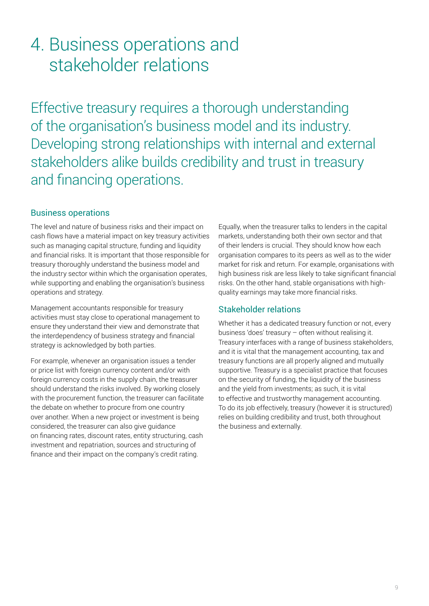### <span id="page-10-0"></span>4. Business operations and stakeholder relations

Effective treasury requires a thorough understanding of the organisation's business model and its industry. Developing strong relationships with internal and external stakeholders alike builds credibility and trust in treasury and financing operations.

#### Business operations

The level and nature of business risks and their impact on cash flows have a material impact on key treasury activities such as managing capital structure, funding and liquidity and financial risks. It is important that those responsible for treasury thoroughly understand the business model and the industry sector within which the organisation operates, while supporting and enabling the organisation's business operations and strategy.

Management accountants responsible for treasury activities must stay close to operational management to ensure they understand their view and demonstrate that the interdependency of business strategy and financial strategy is acknowledged by both parties.

For example, whenever an organisation issues a tender or price list with foreign currency content and/or with foreign currency costs in the supply chain, the treasurer should understand the risks involved. By working closely with the procurement function, the treasurer can facilitate the debate on whether to procure from one country over another. When a new project or investment is being considered, the treasurer can also give guidance on financing rates, discount rates, entity structuring, cash investment and repatriation, sources and structuring of finance and their impact on the company's credit rating.

Equally, when the treasurer talks to lenders in the capital markets, understanding both their own sector and that of their lenders is crucial. They should know how each organisation compares to its peers as well as to the wider market for risk and return. For example, organisations with high business risk are less likely to take significant financial risks. On the other hand, stable organisations with highquality earnings may take more financial risks.

#### Stakeholder relations

Whether it has a dedicated treasury function or not, every business 'does' treasury – often without realising it. Treasury interfaces with a range of business stakeholders, and it is vital that the management accounting, tax and treasury functions are all properly aligned and mutually supportive. Treasury is a specialist practice that focuses on the security of funding, the liquidity of the business and the yield from investments; as such, it is vital to effective and trustworthy management accounting. To do its job effectively, treasury (however it is structured) relies on building credibility and trust, both throughout the business and externally.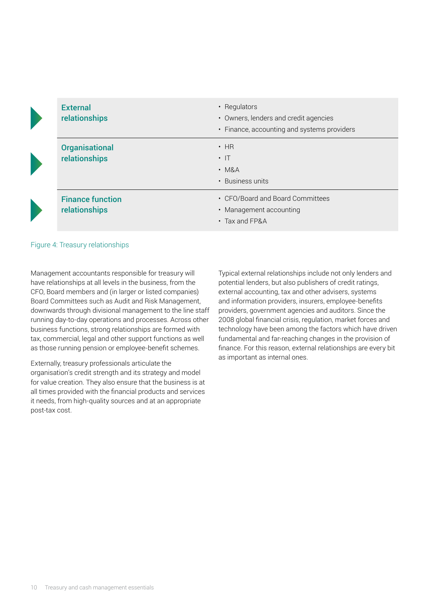| <b>External</b><br>relationships         | • Regulators<br>• Owners, lenders and credit agencies<br>• Finance, accounting and systems providers |
|------------------------------------------|------------------------------------------------------------------------------------------------------|
| <b>Organisational</b><br>relationships   | $\cdot$ HR<br>$\cdot$  T<br>$\cdot$ M&A<br>• Business units                                          |
| <b>Finance function</b><br>relationships | • CFO/Board and Board Committees<br>• Management accounting<br>$\cdot$ Tax and FP&A                  |

#### Figure 4: Treasury relationships

Management accountants responsible for treasury will have relationships at all levels in the business, from the CFO, Board members and (in larger or listed companies) Board Committees such as Audit and Risk Management, downwards through divisional management to the line staff running day-to-day operations and processes. Across other business functions, strong relationships are formed with tax, commercial, legal and other support functions as well as those running pension or employee-benefit schemes.

Externally, treasury professionals articulate the organisation's credit strength and its strategy and model for value creation. They also ensure that the business is at all times provided with the financial products and services it needs, from high-quality sources and at an appropriate post-tax cost.

Typical external relationships include not only lenders and potential lenders, but also publishers of credit ratings, external accounting, tax and other advisers, systems and information providers, insurers, employee-benefits providers, government agencies and auditors. Since the 2008 global financial crisis, regulation, market forces and technology have been among the factors which have driven fundamental and far-reaching changes in the provision of finance. For this reason, external relationships are every bit as important as internal ones.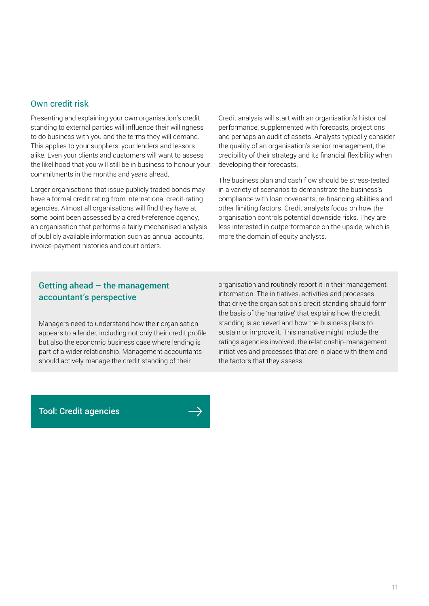#### Own credit risk

Presenting and explaining your own organisation's credit standing to external parties will influence their willingness to do business with you and the terms they will demand. This applies to your suppliers, your lenders and lessors alike. Even your clients and customers will want to assess the likelihood that you will still be in business to honour your commitments in the months and years ahead.

Larger organisations that issue publicly traded bonds may have a formal credit rating from international credit-rating agencies. Almost all organisations will find they have at some point been assessed by a credit-reference agency, an organisation that performs a fairly mechanised analysis of publicly available information such as annual accounts, invoice-payment histories and court orders.

Credit analysis will start with an organisation's historical performance, supplemented with forecasts, projections and perhaps an audit of assets. Analysts typically consider the quality of an organisation's senior management, the credibility of their strategy and its financial flexibility when developing their forecasts.

The business plan and cash flow should be stress-tested in a variety of scenarios to demonstrate the business's compliance with loan covenants, re-financing abilities and other limiting factors. Credit analysts focus on how the organisation controls potential downside risks. They are less interested in outperformance on the upside, which is more the domain of equity analysts.

#### Getting ahead – the management accountant's perspective

Managers need to understand how their organisation appears to a lender, including not only their credit profile but also the economic business case where lending is part of a wider relationship. Management accountants should actively manage the credit standing of their

organisation and routinely report it in their management information. The initiatives, activities and processes that drive the organisation's credit standing should form the basis of the 'narrative' that explains how the credit standing is achieved and how the business plans to sustain or improve it. This narrative might include the ratings agencies involved, the relationship-management initiatives and processes that are in place with them and the factors that they assess.

[Tool: Credit agencies](https://www.treasurers.org/treasuryessentials)

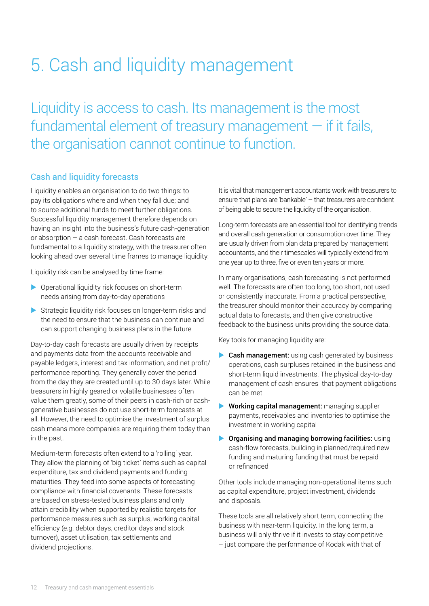# <span id="page-13-0"></span>5. Cash and liquidity management

Liquidity is access to cash. Its management is the most fundamental element of treasury management  $-$  if it fails, the organisation cannot continue to function.

#### Cash and liquidity forecasts

Liquidity enables an organisation to do two things: to pay its obligations where and when they fall due; and to source additional funds to meet further obligations. Successful liquidity management therefore depends on having an insight into the business's future cash-generation or absorption – a cash forecast. Cash forecasts are fundamental to a liquidity strategy, with the treasurer often looking ahead over several time frames to manage liquidity.

Liquidity risk can be analysed by time frame:

- $\triangleright$  Operational liquidity risk focuses on short-term needs arising from day-to-day operations
- $\triangleright$  Strategic liquidity risk focuses on longer-term risks and the need to ensure that the business can continue and can support changing business plans in the future

Day-to-day cash forecasts are usually driven by receipts and payments data from the accounts receivable and payable ledgers, interest and tax information, and net profit/ performance reporting. They generally cover the period from the day they are created until up to 30 days later. While treasurers in highly geared or volatile businesses often value them greatly, some of their peers in cash-rich or cashgenerative businesses do not use short-term forecasts at all. However, the need to optimise the investment of surplus cash means more companies are requiring them today than in the past.

Medium-term forecasts often extend to a 'rolling' year. They allow the planning of 'big ticket' items such as capital expenditure, tax and dividend payments and funding maturities. They feed into some aspects of forecasting compliance with financial covenants. These forecasts are based on stress-tested business plans and only attain credibility when supported by realistic targets for performance measures such as surplus, working capital efficiency (e.g. debtor days, creditor days and stock turnover), asset utilisation, tax settlements and dividend projections.

It is vital that management accountants work with treasurers to ensure that plans are 'bankable' – that treasurers are confident of being able to secure the liquidity of the organisation.

Long-term forecasts are an essential tool for identifying trends and overall cash generation or consumption over time. They are usually driven from plan data prepared by management accountants, and their timescales will typically extend from one year up to three, five or even ten years or more.

In many organisations, cash forecasting is not performed well. The forecasts are often too long, too short, not used or consistently inaccurate. From a practical perspective, the treasurer should monitor their accuracy by comparing actual data to forecasts, and then give constructive feedback to the business units providing the source data.

Key tools for managing liquidity are:

- $\triangleright$  Cash management: using cash generated by business operations, cash surpluses retained in the business and short-term liquid investments. The physical day-to-day management of cash ensures that payment obligations can be met
- $\blacktriangleright$  Working capital management: managing supplier payments, receivables and inventories to optimise the investment in working capital
- $\triangleright$  Organising and managing borrowing facilities: using cash-flow forecasts, building in planned/required new funding and maturing funding that must be repaid or refinanced

Other tools include managing non-operational items such as capital expenditure, project investment, dividends and disposals.

These tools are all relatively short term, connecting the business with near-term liquidity. In the long term, a business will only thrive if it invests to stay competitive – just compare the performance of Kodak with that of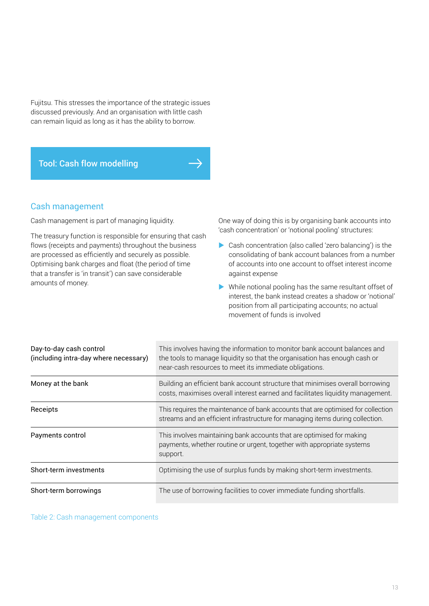Fujitsu. This stresses the importance of the strategic issues discussed previously. And an organisation with little cash can remain liquid as long as it has the ability to borrow.

#### [Tool: Cash flow modelling](https://www.cgma.org/resources/tools/essential-tools/cash-flow-modelling.html)

#### Cash management

Cash management is part of managing liquidity.

The treasury function is responsible for ensuring that cash flows (receipts and payments) throughout the business are processed as efficiently and securely as possible. Optimising bank charges and float (the period of time that a transfer is 'in transit') can save considerable amounts of money.

One way of doing this is by organising bank accounts into 'cash concentration' or 'notional pooling' structures:

- $\triangleright$  Cash concentration (also called 'zero balancing') is the consolidating of bank account balances from a number of accounts into one account to offset interest income against expense
- $\triangleright$  While notional pooling has the same resultant offset of interest, the bank instead creates a shadow or 'notional' position from all participating accounts; no actual movement of funds is involved

| Day-to-day cash control<br>(including intra-day where necessary) | This involves having the information to monitor bank account balances and<br>the tools to manage liquidity so that the organisation has enough cash or<br>near-cash resources to meet its immediate obligations. |
|------------------------------------------------------------------|------------------------------------------------------------------------------------------------------------------------------------------------------------------------------------------------------------------|
| Money at the bank                                                | Building an efficient bank account structure that minimises overall borrowing<br>costs, maximises overall interest earned and facilitates liquidity management.                                                  |
| Receipts                                                         | This requires the maintenance of bank accounts that are optimised for collection<br>streams and an efficient infrastructure for managing items during collection.                                                |
| Payments control                                                 | This involves maintaining bank accounts that are optimised for making<br>payments, whether routine or urgent, together with appropriate systems<br>support.                                                      |
| Short-term investments                                           | Optimising the use of surplus funds by making short-term investments.                                                                                                                                            |
| Short-term borrowings                                            | The use of borrowing facilities to cover immediate funding shortfalls.                                                                                                                                           |

Table 2: Cash management components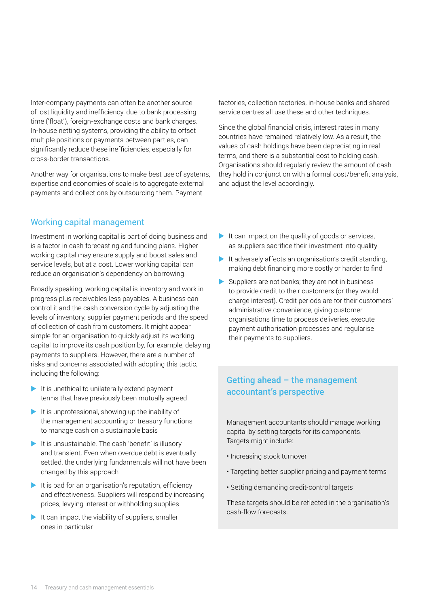Inter-company payments can often be another source of lost liquidity and inefficiency, due to bank processing time ('float'), foreign-exchange costs and bank charges. In-house netting systems, providing the ability to offset multiple positions or payments between parties, can significantly reduce these inefficiencies, especially for cross-border transactions.

Another way for organisations to make best use of systems, expertise and economies of scale is to aggregate external payments and collections by outsourcing them. Payment

#### Working capital management

Investment in working capital is part of doing business and is a factor in cash forecasting and funding plans. Higher working capital may ensure supply and boost sales and service levels, but at a cost. Lower working capital can reduce an organisation's dependency on borrowing.

Broadly speaking, working capital is inventory and work in progress plus receivables less payables. A business can control it and the cash conversion cycle by adjusting the levels of inventory, supplier payment periods and the speed of collection of cash from customers. It might appear simple for an organisation to quickly adjust its working capital to improve its cash position by, for example, delaying payments to suppliers. However, there are a number of risks and concerns associated with adopting this tactic, including the following:

- $\blacktriangleright$  It is unethical to unilaterally extend payment terms that have previously been mutually agreed
- $\blacktriangleright$  It is unprofessional, showing up the inability of the management accounting or treasury functions to manage cash on a sustainable basis
- $\blacktriangleright$  It is unsustainable. The cash 'benefit' is illusory and transient. Even when overdue debt is eventually settled, the underlying fundamentals will not have been changed by this approach
- $\blacktriangleright$  It is bad for an organisation's reputation, efficiency and effectiveness. Suppliers will respond by increasing prices, levying interest or withholding supplies
- $\blacktriangleright$  It can impact the viability of suppliers, smaller ones in particular

factories, collection factories, in-house banks and shared service centres all use these and other techniques.

Since the global financial crisis, interest rates in many countries have remained relatively low. As a result, the values of cash holdings have been depreciating in real terms, and there is a substantial cost to holding cash. Organisations should regularly review the amount of cash they hold in conjunction with a formal cost/benefit analysis, and adjust the level accordingly.

- $\blacktriangleright$  It can impact on the quality of goods or services, as suppliers sacrifice their investment into quality
- $\blacktriangleright$  It adversely affects an organisation's credit standing, making debt financing more costly or harder to find
- $\blacktriangleright$  Suppliers are not banks; they are not in business to provide credit to their customers (or they would charge interest). Credit periods are for their customers' administrative convenience, giving customer organisations time to process deliveries, execute payment authorisation processes and regularise their payments to suppliers.

#### Getting ahead  $-$  the management accountant's perspective

Management accountants should manage working capital by setting targets for its components. Targets might include:

- Increasing stock turnover
- Targeting better supplier pricing and payment terms
- Setting demanding credit-control targets

These targets should be reflected in the organisation's cash-flow forecasts.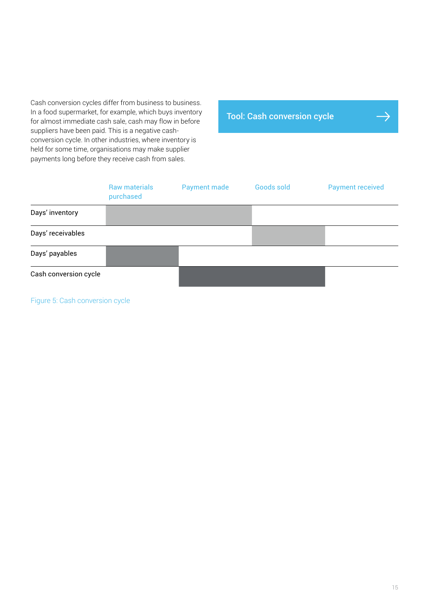Cash conversion cycles differ from business to business. In a food supermarket, for example, which buys inventory for almost immediate cash sale, cash may flow in before suppliers have been paid. This is a negative cashconversion cycle. In other industries, where inventory is held for some time, organisations may make supplier payments long before they receive cash from sales.

[Tool: Cash conversion cycle](https://www.treasurers.org/treasuryessentials)

|                       | <b>Raw materials</b><br>purchased | <b>Payment made</b> | Goods sold | <b>Payment received</b> |
|-----------------------|-----------------------------------|---------------------|------------|-------------------------|
| Days' inventory       |                                   |                     |            |                         |
| Days' receivables     |                                   |                     |            |                         |
| Days' payables        |                                   |                     |            |                         |
| Cash conversion cycle |                                   |                     |            |                         |

Figure 5: Cash conversion cycle

 $\rightarrow$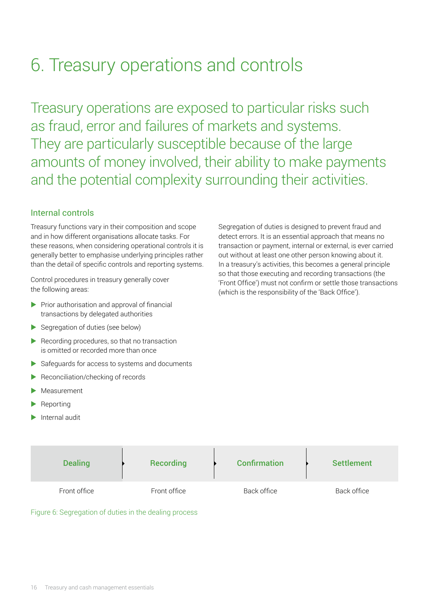# <span id="page-17-0"></span>6. Treasury operations and controls

Treasury operations are exposed to particular risks such as fraud, error and failures of markets and systems. They are particularly susceptible because of the large amounts of money involved, their ability to make payments and the potential complexity surrounding their activities.

#### Internal controls

Treasury functions vary in their composition and scope and in how different organisations allocate tasks. For these reasons, when considering operational controls it is generally better to emphasise underlying principles rather than the detail of specific controls and reporting systems.

Control procedures in treasury generally cover the following areas:

- $\blacktriangleright$  Prior authorisation and approval of financial transactions by delegated authorities
- $\blacktriangleright$  Segregation of duties (see below)
- $\blacktriangleright$  Recording procedures, so that no transaction is omitted or recorded more than once
- $\triangleright$  Safeguards for access to systems and documents
- Reconciliation/checking of records
- Measurement
- $\blacktriangleright$  Reporting
- Internal audit

Segregation of duties is designed to prevent fraud and detect errors. It is an essential approach that means no transaction or payment, internal or external, is ever carried out without at least one other person knowing about it. In a treasury's activities, this becomes a general principle so that those executing and recording transactions (the 'Front Office') must not confirm or settle those transactions (which is the responsibility of the 'Back Office').

| <b>Dealing</b> | <b>Recording</b> | <b>Confirmation</b> | <b>Settlement</b> |
|----------------|------------------|---------------------|-------------------|
| Front office   | Front office     | Back office         | Back office       |

Figure 6: Segregation of duties in the dealing process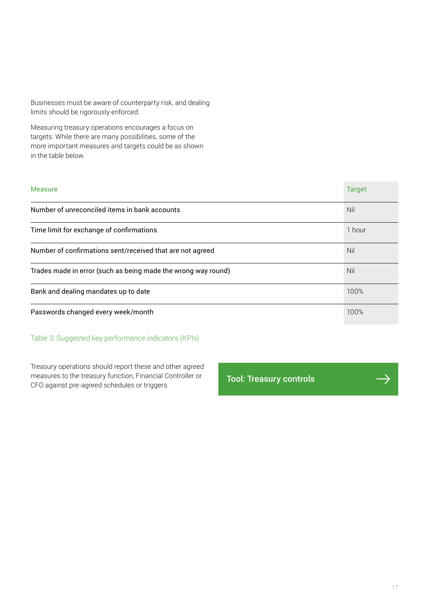Businesses must be aware of counterparty risk, and dealing limits should be rigorously enforced.

Measuring treasury operations encourages a focus on targets. While there are many possibilities, some of the more important measures and targets could be as shown in the table below.

| <b>Measure</b>                                                | <b>Target</b> |
|---------------------------------------------------------------|---------------|
| Number of unreconciled items in bank accounts                 | Nil           |
| Time limit for exchange of confirmations                      | 1 hour        |
| Number of confirmations sent/received that are not agreed     |               |
| Trades made in error (such as being made the wrong way round) |               |
| Bank and dealing mandates up to date                          |               |
| Passwords changed every week/month                            | 100%          |

#### Table 3: Suggested key performance indicators (KPIs)

Treasury operations should report these and other agreed measures to the treasury function, Financial Controller or measures to the treasury function, Financial Controller or **[Tool: Treasury controls](https://www.treasurers.org/treasuryessentials)**<br>CFO against pre-agreed schedules or triggers.

 $\Rightarrow$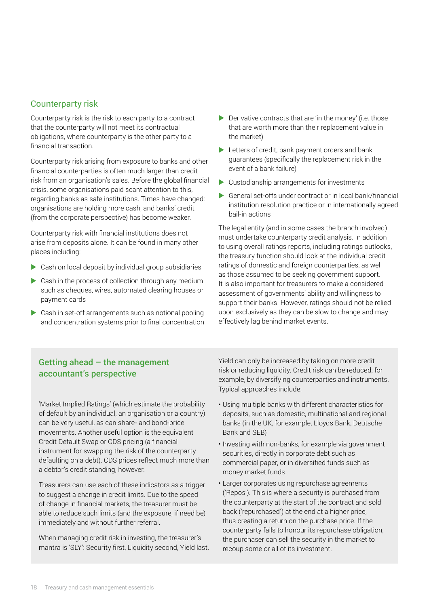#### Counterparty risk

Counterparty risk is the risk to each party to a contract that the counterparty will not meet its contractual obligations, where counterparty is the other party to a financial transaction.

Counterparty risk arising from exposure to banks and other financial counterparties is often much larger than credit risk from an organisation's sales. Before the global financial crisis, some organisations paid scant attention to this, regarding banks as safe institutions. Times have changed: organisations are holding more cash, and banks' credit (from the corporate perspective) has become weaker.

Counterparty risk with financial institutions does not arise from deposits alone. It can be found in many other places including:

- $\triangleright$  Cash on local deposit by individual group subsidiaries
- $\triangleright$  Cash in the process of collection through any medium such as cheques, wires, automated clearing houses or payment cards
- $\triangleright$  Cash in set-off arrangements such as notional pooling and concentration systems prior to final concentration
- $\blacktriangleright$  Derivative contracts that are 'in the money' (i.e. those that are worth more than their replacement value in the market)
- $\blacktriangleright$  Letters of credit, bank payment orders and bank guarantees (specifically the replacement risk in the event of a bank failure)
- $\blacktriangleright$  Custodianship arrangements for investments
- $\triangleright$  General set-offs under contract or in local bank/financial institution resolution practice or in internationally agreed bail-in actions

The legal entity (and in some cases the branch involved) must undertake counterparty credit analysis. In addition to using overall ratings reports, including ratings outlooks, the treasury function should look at the individual credit ratings of domestic and foreign counterparties, as well as those assumed to be seeking government support. It is also important for treasurers to make a considered assessment of governments' ability and willingness to support their banks. However, ratings should not be relied upon exclusively as they can be slow to change and may effectively lag behind market events.

#### Getting ahead  $-$  the management accountant's perspective

'Market Implied Ratings' (which estimate the probability of default by an individual, an organisation or a country) can be very useful, as can share- and bond-price movements. Another useful option is the equivalent Credit Default Swap or CDS pricing (a financial instrument for swapping the risk of the counterparty defaulting on a debt). CDS prices reflect much more than a debtor's credit standing, however.

Treasurers can use each of these indicators as a trigger to suggest a change in credit limits. Due to the speed of change in financial markets, the treasurer must be able to reduce such limits (and the exposure, if need be) immediately and without further referral.

When managing credit risk in investing, the treasurer's mantra is 'SLY': Security first, Liquidity second, Yield last. Yield can only be increased by taking on more credit risk or reducing liquidity. Credit risk can be reduced, for example, by diversifying counterparties and instruments. Typical approaches include:

- Using multiple banks with different characteristics for deposits, such as domestic, multinational and regional banks (in the UK, for example, Lloyds Bank, Deutsche Bank and SEB)
- Investing with non-banks, for example via government securities, directly in corporate debt such as commercial paper, or in diversified funds such as money market funds
- Larger corporates using repurchase agreements ('Repos'). This is where a security is purchased from the counterparty at the start of the contract and sold back ('repurchased') at the end at a higher price, thus creating a return on the purchase price. If the counterparty fails to honour its repurchase obligation, the purchaser can sell the security in the market to recoup some or all of its investment.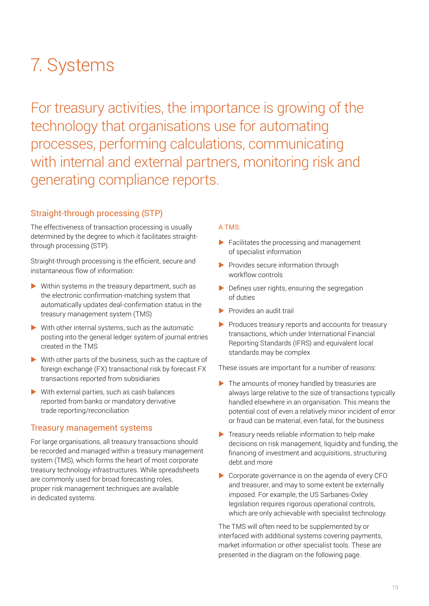# <span id="page-20-0"></span>7. Systems

For treasury activities, the importance is growing of the technology that organisations use for automating processes, performing calculations, communicating with internal and external partners, monitoring risk and generating compliance reports.

#### Straight-through processing (STP)

The effectiveness of transaction processing is usually determined by the degree to which it facilitates straightthrough processing (STP).

Straight-through processing is the efficient, secure and instantaneous flow of information:

- $\triangleright$  Within systems in the treasury department, such as the electronic confirmation-matching system that automatically updates deal-confirmation status in the treasury management system (TMS)
- $\blacktriangleright$  With other internal systems, such as the automatic posting into the general ledger system of journal entries created in the TMS
- $\triangleright$  With other parts of the business, such as the capture of foreign exchange (FX) transactional risk by forecast FX transactions reported from subsidiaries
- $\blacktriangleright$  With external parties, such as cash balances reported from banks or mandatory derivative trade reporting/reconciliation

#### Treasury management systems

For large organisations, all treasury transactions should be recorded and managed within a treasury management system (TMS), which forms the heart of most corporate treasury technology infrastructures. While spreadsheets are commonly used for broad forecasting roles, proper risk management techniques are available in dedicated systems.

#### A TMS:

- $\blacktriangleright$  Facilitates the processing and management of specialist information
- $\blacktriangleright$  Provides secure information through workflow controls
- $\blacktriangleright$  Defines user rights, ensuring the segregation of duties
- $\blacktriangleright$  Provides an audit trail
- $\blacktriangleright$  Produces treasury reports and accounts for treasury transactions, which under International Financial Reporting Standards (IFRS) and equivalent local standards may be complex

These issues are important for a number of reasons:

- $\blacktriangleright$  The amounts of money handled by treasuries are always large relative to the size of transactions typically handled elsewhere in an organisation. This means the potential cost of even a relatively minor incident of error or fraud can be material, even fatal, for the business
- Treasury needs reliable information to help make decisions on risk management, liquidity and funding, the financing of investment and acquisitions, structuring debt and more
- $\triangleright$  Corporate governance is on the agenda of every CFO and treasurer, and may to some extent be externally imposed. For example, the US Sarbanes-Oxley legislation requires rigorous operational controls, which are only achievable with specialist technology.

The TMS will often need to be supplemented by or interfaced with additional systems covering payments, market information or other specialist tools. These are presented in the diagram on the following page.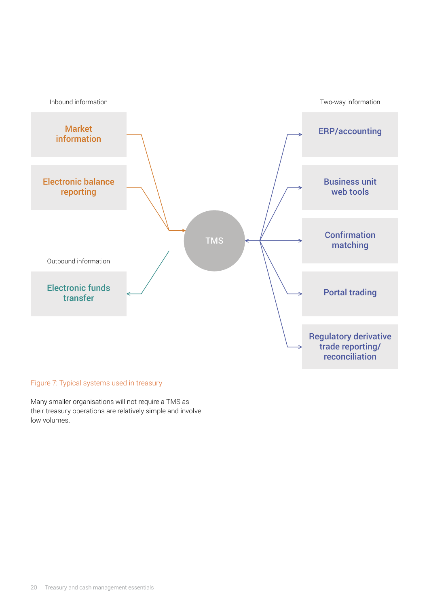

#### Figure 7: Typical systems used in treasury

Many smaller organisations will not require a TMS as their treasury operations are relatively simple and involve low volumes.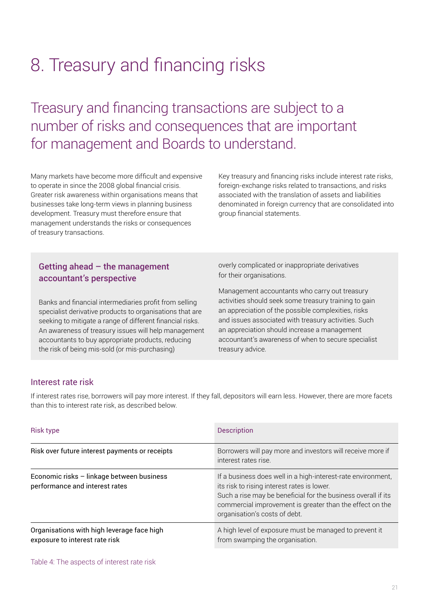# <span id="page-22-0"></span>8. Treasury and financing risks

Treasury and financing transactions are subject to a number of risks and consequences that are important for management and Boards to understand.

Many markets have become more difficult and expensive to operate in since the 2008 global financial crisis. Greater risk awareness within organisations means that businesses take long-term views in planning business development. Treasury must therefore ensure that management understands the risks or consequences of treasury transactions.

Key treasury and financing risks include interest rate risks, foreign-exchange risks related to transactions, and risks associated with the translation of assets and liabilities denominated in foreign currency that are consolidated into group financial statements.

#### Getting ahead  $-$  the management accountant's perspective

Banks and financial intermediaries profit from selling specialist derivative products to organisations that are seeking to mitigate a range of different financial risks. An awareness of treasury issues will help management accountants to buy appropriate products, reducing the risk of being mis-sold (or mis-purchasing)

overly complicated or inappropriate derivatives for their organisations.

Management accountants who carry out treasury activities should seek some treasury training to gain an appreciation of the possible complexities, risks and issues associated with treasury activities. Such an appreciation should increase a management accountant's awareness of when to secure specialist treasury advice.

#### Interest rate risk

If interest rates rise, borrowers will pay more interest. If they fall, depositors will earn less. However, there are more facets than this to interest rate risk, as described below.

| <b>Risk type</b>                                                             | <b>Description</b>                                                                                                                                                                                                                                                        |
|------------------------------------------------------------------------------|---------------------------------------------------------------------------------------------------------------------------------------------------------------------------------------------------------------------------------------------------------------------------|
| Risk over future interest payments or receipts                               | Borrowers will pay more and investors will receive more if<br>interest rates rise.                                                                                                                                                                                        |
| Economic risks - linkage between business<br>performance and interest rates  | If a business does well in a high-interest-rate environment,<br>its risk to rising interest rates is lower.<br>Such a rise may be beneficial for the business overall if its<br>commercial improvement is greater than the effect on the<br>organisation's costs of debt. |
| Organisations with high leverage face high<br>exposure to interest rate risk | A high level of exposure must be managed to prevent it<br>from swamping the organisation.                                                                                                                                                                                 |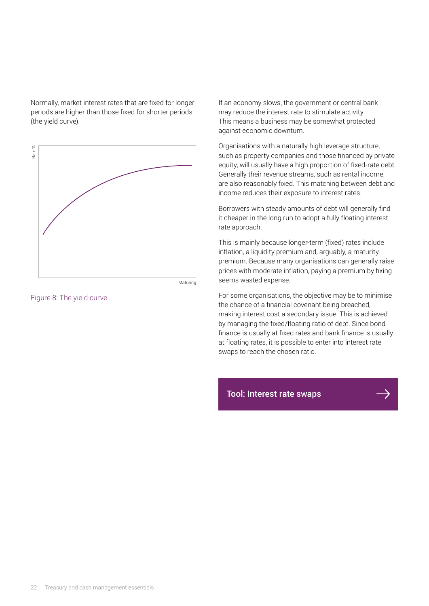Normally, market interest rates that are fixed for longer periods are higher than those fixed for shorter periods (the yield curve).



Maturing

Figure 8: The yield curve

If an economy slows, the government or central bank may reduce the interest rate to stimulate activity. This means a business may be somewhat protected against economic downturn.

Organisations with a naturally high leverage structure, such as property companies and those financed by private equity, will usually have a high proportion of fixed-rate debt. Generally their revenue streams, such as rental income, are also reasonably fixed. This matching between debt and income reduces their exposure to interest rates.

Borrowers with steady amounts of debt will generally find it cheaper in the long run to adopt a fully floating interest rate approach.

This is mainly because longer-term (fixed) rates include inflation, a liquidity premium and, arguably, a maturity premium. Because many organisations can generally raise prices with moderate inflation, paying a premium by fixing seems wasted expense.

For some organisations, the objective may be to minimise the chance of a financial covenant being breached, making interest cost a secondary issue. This is achieved by managing the fixed/floating ratio of debt. Since bond finance is usually at fixed rates and bank finance is usually at floating rates, it is possible to enter into interest rate swaps to reach the chosen ratio.

[Tool: Interest rate swaps](https://www.treasurers.org/treasuryessentials)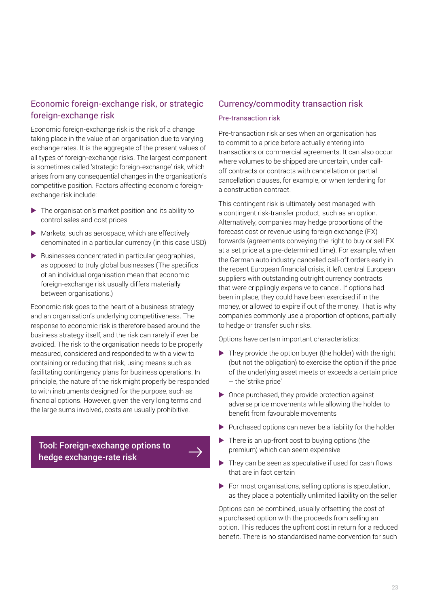#### Economic foreign-exchange risk, or strategic foreign-exchange risk

Economic foreign-exchange risk is the risk of a change taking place in the value of an organisation due to varying exchange rates. It is the aggregate of the present values of all types of foreign-exchange risks. The largest component is sometimes called 'strategic foreign-exchange' risk, which arises from any consequential changes in the organisation's competitive position. Factors affecting economic foreignexchange risk include:

- $\blacktriangleright$  The organisation's market position and its ability to control sales and cost prices
- $\blacktriangleright$  Markets, such as aerospace, which are effectively denominated in a particular currency (in this case USD)
- $\blacktriangleright$  Businesses concentrated in particular geographies, as opposed to truly global businesses (The specifics of an individual organisation mean that economic foreign-exchange risk usually differs materially between organisations.)

Economic risk goes to the heart of a business strategy and an organisation's underlying competitiveness. The response to economic risk is therefore based around the business strategy itself, and the risk can rarely if ever be avoided. The risk to the organisation needs to be properly measured, considered and responded to with a view to containing or reducing that risk, using means such as facilitating contingency plans for business operations. In principle, the nature of the risk might properly be responded to with instruments designed for the purpose, such as financial options. However, given the very long terms and the large sums involved, costs are usually prohibitive.

[Tool: Foreign-exchange options to](https://www.cgma.org/resources/tools/financial-risk-management.html)  hedge exchange-rate risk

#### Currency/commodity transaction risk

#### Pre-transaction risk

Pre-transaction risk arises when an organisation has to commit to a price before actually entering into transactions or commercial agreements. It can also occur where volumes to be shipped are uncertain, under calloff contracts or contracts with cancellation or partial cancellation clauses, for example, or when tendering for a construction contract.

This contingent risk is ultimately best managed with a contingent risk-transfer product, such as an option. Alternatively, companies may hedge proportions of the forecast cost or revenue using foreign exchange (FX) forwards (agreements conveying the right to buy or sell FX at a set price at a pre-determined time). For example, when the German auto industry cancelled call-off orders early in the recent European financial crisis, it left central European suppliers with outstanding outright currency contracts that were cripplingly expensive to cancel. If options had been in place, they could have been exercised if in the money, or allowed to expire if out of the money. That is why companies commonly use a proportion of options, partially to hedge or transfer such risks.

Options have certain important characteristics:

- $\blacktriangleright$  They provide the option buyer (the holder) with the right (but not the obligation) to exercise the option if the price of the underlying asset meets or exceeds a certain price – the 'strike price'
- $\triangleright$  Once purchased, they provide protection against adverse price movements while allowing the holder to benefit from favourable movements
- $\blacktriangleright$  Purchased options can never be a liability for the holder
- $\blacktriangleright$  There is an up-front cost to buying options (the premium) which can seem expensive
- $\blacktriangleright$  They can be seen as speculative if used for cash flows that are in fact certain
- $\blacktriangleright$  For most organisations, selling options is speculation, as they place a potentially unlimited liability on the seller

Options can be combined, usually offsetting the cost of a purchased option with the proceeds from selling an option. This reduces the upfront cost in return for a reduced benefit. There is no standardised name convention for such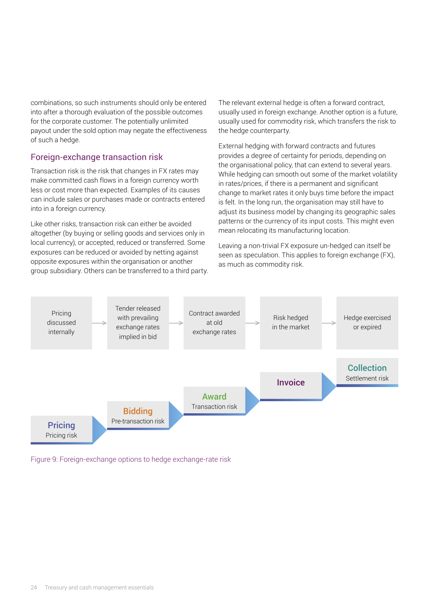combinations, so such instruments should only be entered into after a thorough evaluation of the possible outcomes for the corporate customer. The potentially unlimited payout under the sold option may negate the effectiveness of such a hedge.

#### Foreign-exchange transaction risk

Transaction risk is the risk that changes in FX rates may make committed cash flows in a foreign currency worth less or cost more than expected. Examples of its causes can include sales or purchases made or contracts entered into in a foreign currency.

Like other risks, transaction risk can either be avoided altogether (by buying or selling goods and services only in local currency), or accepted, reduced or transferred. Some exposures can be reduced or avoided by netting against opposite exposures within the organisation or another group subsidiary. Others can be transferred to a third party. The relevant external hedge is often a forward contract, usually used in foreign exchange. Another option is a future, usually used for commodity risk, which transfers the risk to the hedge counterparty.

External hedging with forward contracts and futures provides a degree of certainty for periods, depending on the organisational policy, that can extend to several years. While hedging can smooth out some of the market volatility in rates/prices, if there is a permanent and significant change to market rates it only buys time before the impact is felt. In the long run, the organisation may still have to adjust its business model by changing its geographic sales patterns or the currency of its input costs. This might even mean relocating its manufacturing location.

Leaving a non-trivial FX exposure un-hedged can itself be seen as speculation. This applies to foreign exchange (FX), as much as commodity risk.



Figure 9: Foreign-exchange options to hedge exchange-rate risk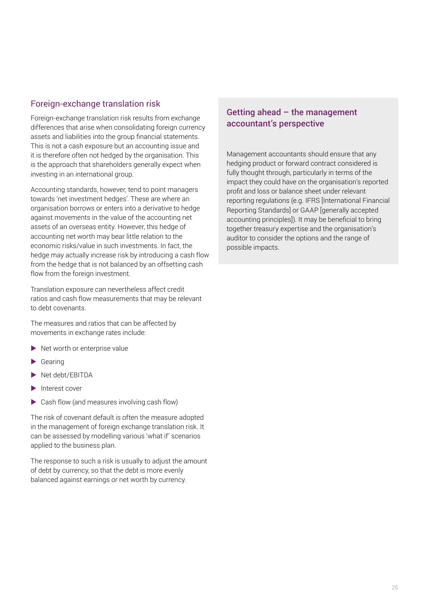#### Foreign-exchange translation risk

Foreign-exchange translation risk results from exchange differences that arise when consolidating foreign currency assets and liabilities into the group financial statements. This is not a cash exposure but an accounting issue and it is therefore often not hedged by the organisation. This is the approach that shareholders generally expect when investing in an international group.

Accounting standards, however, tend to point managers towards 'net investment hedges'. These are where an organisation borrows or enters into a derivative to hedge against movements in the value of the accounting net assets of an overseas entity. However, this hedge of accounting net worth may bear little relation to the economic risks/value in such investments. In fact, the hedge may actually increase risk by introducing a cash flow from the hedge that is not balanced by an offsetting cash flow from the foreign investment.

Translation exposure can nevertheless affect credit ratios and cash flow measurements that may be relevant to debt covenants.

The measures and ratios that can be affected by movements in exchange rates include:

- Net worth or enterprise value
- Gearing
- $\blacktriangleright$  Net debt/EBITDA
- $\blacktriangleright$  Interest cover
- $\triangleright$  Cash flow (and measures involving cash flow)

The risk of covenant default is often the measure adopted in the management of foreign exchange translation risk. It can be assessed by modelling various 'what if' scenarios applied to the business plan.

The response to such a risk is usually to adjust the amount of debt by currency, so that the debt is more evenly balanced against earnings or net worth by currency.

#### Getting ahead – the management accountant's perspective

Management accountants should ensure that any hedging product or forward contract considered is fully thought through, particularly in terms of the impact they could have on the organisation's reported profit and loss or balance sheet under relevant reporting regulations (e.g. IFRS [International Financial Reporting Standards] or GAAP [generally accepted accounting principles]). It may be beneficial to bring together treasury expertise and the organisation's auditor to consider the options and the range of possible impacts.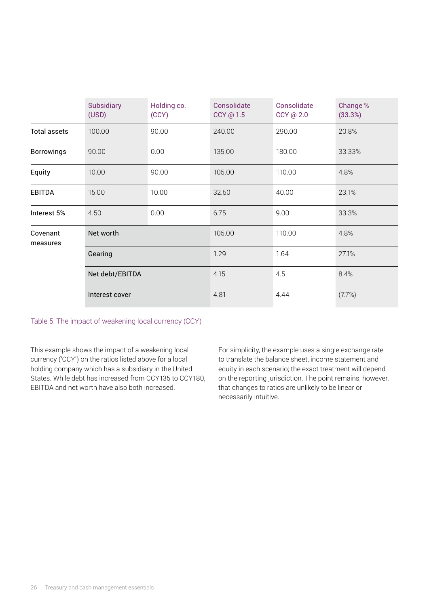|                      | Subsidiary<br>(USD) | Holding co.<br>(CCY) | Consolidate<br>CCY @ 1.5 | Consolidate<br>CCY @ 2.0 | Change %<br>(33.3%) |
|----------------------|---------------------|----------------------|--------------------------|--------------------------|---------------------|
| <b>Total assets</b>  | 100.00              | 90.00                | 240.00                   | 290.00                   | 20.8%               |
| <b>Borrowings</b>    | 90.00               | 0.00                 | 135.00                   | 180.00                   | 33.33%              |
| Equity               | 10.00               | 90.00                | 105.00                   | 110.00                   | 4.8%                |
| <b>EBITDA</b>        | 15.00               | 10.00                | 32.50                    | 40.00                    | 23.1%               |
| Interest 5%          | 4.50                | 0.00                 | 6.75                     | 9.00                     | 33.3%               |
| Covenant<br>measures | Net worth           |                      | 105.00                   | 110.00                   | 4.8%                |
|                      | Gearing             |                      | 1.29                     | 1.64                     | 27.1%               |
|                      | Net debt/EBITDA     |                      | 4.15                     | 4.5                      | 8.4%                |
|                      | Interest cover      |                      | 4.81                     | 4.44                     | (7.7%)              |

Table 5: The impact of weakening local currency (CCY)

This example shows the impact of a weakening local currency ('CCY') on the ratios listed above for a local holding company which has a subsidiary in the United States. While debt has increased from CCY135 to CCY180, EBITDA and net worth have also both increased.

For simplicity, the example uses a single exchange rate to translate the balance sheet, income statement and equity in each scenario; the exact treatment will depend on the reporting jurisdiction. The point remains, however, that changes to ratios are unlikely to be linear or necessarily intuitive.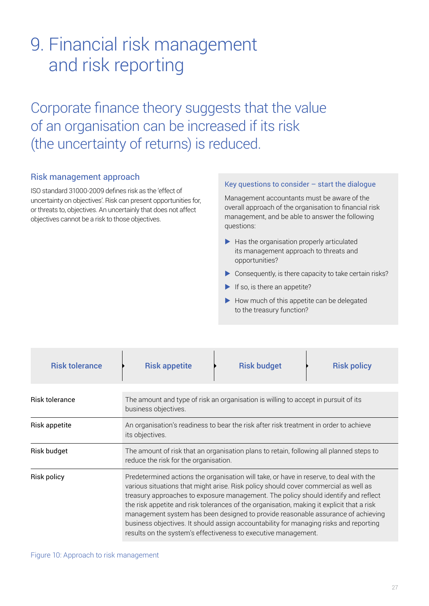## <span id="page-28-0"></span>9. Financial risk management and risk reporting

Corporate finance theory suggests that the value of an organisation can be increased if its risk (the uncertainty of returns) is reduced.

#### Risk management approach

ISO standard 31000-2009 defines risk as the 'effect of uncertainty on objectives'. Risk can present opportunities for, or threats to, objectives. An uncertainly that does not affect objectives cannot be a risk to those objectives.

#### Key questions to consider – start the dialogue

Management accountants must be aware of the overall approach of the organisation to financial risk management, and be able to answer the following questions:

- $\blacktriangleright$  Has the organisation properly articulated its management approach to threats and opportunities?
- $\triangleright$  Consequently, is there capacity to take certain risks?
- $\blacktriangleright$  If so, is there an appetite?
- $\blacktriangleright$  How much of this appetite can be delegated to the treasury function?

| <b>Risk tolerance</b> | <b>Risk appetite</b>                                                                                                                                                                                                                                                                                                                                                                                                                                                                                                                                                                                            | <b>Risk budget</b>                                                                 | <b>Risk policy</b> |
|-----------------------|-----------------------------------------------------------------------------------------------------------------------------------------------------------------------------------------------------------------------------------------------------------------------------------------------------------------------------------------------------------------------------------------------------------------------------------------------------------------------------------------------------------------------------------------------------------------------------------------------------------------|------------------------------------------------------------------------------------|--------------------|
| <b>Risk tolerance</b> | business objectives.                                                                                                                                                                                                                                                                                                                                                                                                                                                                                                                                                                                            | The amount and type of risk an organisation is willing to accept in pursuit of its |                    |
| Risk appetite         | An organisation's readiness to bear the risk after risk treatment in order to achieve<br>its objectives.                                                                                                                                                                                                                                                                                                                                                                                                                                                                                                        |                                                                                    |                    |
| <b>Risk budget</b>    | The amount of risk that an organisation plans to retain, following all planned steps to<br>reduce the risk for the organisation.                                                                                                                                                                                                                                                                                                                                                                                                                                                                                |                                                                                    |                    |
| <b>Risk policy</b>    | Predetermined actions the organisation will take, or have in reserve, to deal with the<br>various situations that might arise. Risk policy should cover commercial as well as<br>treasury approaches to exposure management. The policy should identify and reflect<br>the risk appetite and risk tolerances of the organisation, making it explicit that a risk<br>management system has been designed to provide reasonable assurance of achieving<br>business objectives. It should assign accountability for managing risks and reporting<br>results on the system's effectiveness to executive management. |                                                                                    |                    |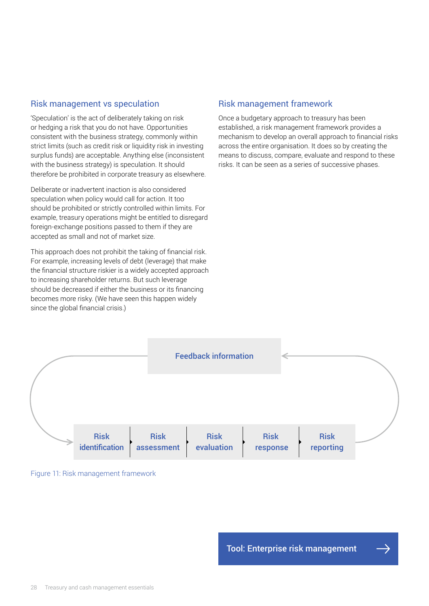#### Risk management vs speculation

'Speculation' is the act of deliberately taking on risk or hedging a risk that you do not have. Opportunities consistent with the business strategy, commonly within strict limits (such as credit risk or liquidity risk in investing surplus funds) are acceptable. Anything else (inconsistent with the business strategy) is speculation. It should therefore be prohibited in corporate treasury as elsewhere.

Deliberate or inadvertent inaction is also considered speculation when policy would call for action. It too should be prohibited or strictly controlled within limits. For example, treasury operations might be entitled to disregard foreign-exchange positions passed to them if they are accepted as small and not of market size.

This approach does not prohibit the taking of financial risk. For example, increasing levels of debt (leverage) that make the financial structure riskier is a widely accepted approach to increasing shareholder returns. But such leverage should be decreased if either the business or its financing becomes more risky. (We have seen this happen widely since the global financial crisis.)

#### Risk management framework

Once a budgetary approach to treasury has been established, a risk management framework provides a mechanism to develop an overall approach to financial risks across the entire organisation. It does so by creating the means to discuss, compare, evaluate and respond to these risks. It can be seen as a series of successive phases.





[Tool: Enterprise risk management](https://www.cgma.org/resources/tools/essential-tools/enterpise-risk-management.html)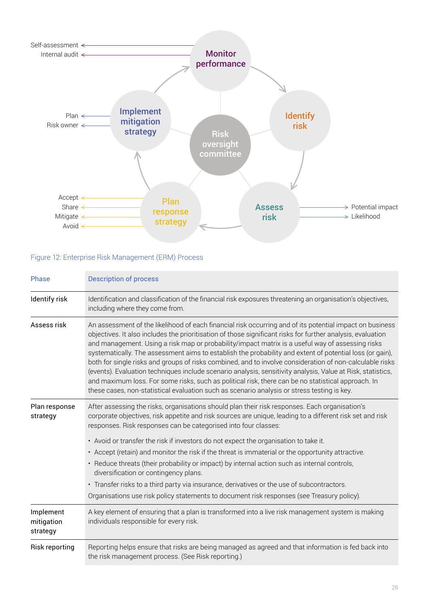

#### Figure 12: Enterprise Risk Management (ERM) Process

| Phase                               | <b>Description of process</b>                                                                                                                                                                                                                                                                                                                                                                                                                                                                                                                                                                                                                                                                                                                                                                                                                                           |
|-------------------------------------|-------------------------------------------------------------------------------------------------------------------------------------------------------------------------------------------------------------------------------------------------------------------------------------------------------------------------------------------------------------------------------------------------------------------------------------------------------------------------------------------------------------------------------------------------------------------------------------------------------------------------------------------------------------------------------------------------------------------------------------------------------------------------------------------------------------------------------------------------------------------------|
| Identify risk                       | Identification and classification of the financial risk exposures threatening an organisation's objectives,<br>including where they come from.                                                                                                                                                                                                                                                                                                                                                                                                                                                                                                                                                                                                                                                                                                                          |
| Assess risk                         | An assessment of the likelihood of each financial risk occurring and of its potential impact on business<br>objectives. It also includes the prioritisation of those significant risks for further analysis, evaluation<br>and management. Using a risk map or probability/impact matrix is a useful way of assessing risks<br>systematically. The assessment aims to establish the probability and extent of potential loss (or gain),<br>both for single risks and groups of risks combined, and to involve consideration of non-calculable risks<br>(events). Evaluation techniques include scenario analysis, sensitivity analysis, Value at Risk, statistics,<br>and maximum loss. For some risks, such as political risk, there can be no statistical approach. In<br>these cases, non-statistical evaluation such as scenario analysis or stress testing is key. |
| Plan response<br>strategy           | After assessing the risks, organisations should plan their risk responses. Each organisation's<br>corporate objectives, risk appetite and risk sources are unique, leading to a different risk set and risk<br>responses. Risk responses can be categorised into four classes:<br>• Avoid or transfer the risk if investors do not expect the organisation to take it.<br>• Accept (retain) and monitor the risk if the threat is immaterial or the opportunity attractive.<br>• Reduce threats (their probability or impact) by internal action such as internal controls,<br>diversification or contingency plans.<br>• Transfer risks to a third party via insurance, derivatives or the use of subcontractors.<br>Organisations use risk policy statements to document risk responses (see Treasury policy).                                                        |
| Implement<br>mitigation<br>strategy | A key element of ensuring that a plan is transformed into a live risk management system is making<br>individuals responsible for every risk.                                                                                                                                                                                                                                                                                                                                                                                                                                                                                                                                                                                                                                                                                                                            |
| <b>Risk reporting</b>               | Reporting helps ensure that risks are being managed as agreed and that information is fed back into<br>the risk management process. (See Risk reporting.)                                                                                                                                                                                                                                                                                                                                                                                                                                                                                                                                                                                                                                                                                                               |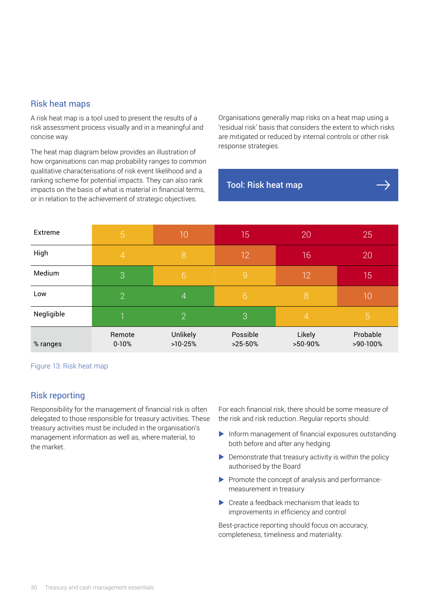#### Risk heat maps

A risk heat map is a tool used to present the results of a risk assessment process visually and in a meaningful and concise way.

The heat map diagram below provides an illustration of how organisations can map probability ranges to common qualitative characterisations of risk event likelihood and a ranking scheme for potential impacts. They can also rank impacts on the basis of what is material in financial terms, or in relation to the achievement of strategic objectives.

Organisations generally map risks on a heat map using a 'residual risk' basis that considers the extent to which risks are mitigated or reduced by internal controls or other risk response strategies.

#### [Tool: Risk heat map](https://www.cgma.org/resources/tools/essential-tools/risk-heat-maps.html)

| Extreme    | $\overline{5}$      | $\overline{1}0$       | 15                    | 20                | 25                   |
|------------|---------------------|-----------------------|-----------------------|-------------------|----------------------|
| High       | $\overline{4}$      | 8                     | 12                    | 16                | 20                   |
| Medium     | 3                   | $6\phantom{1}6$       | $\overline{9}$        | 12                | 15                   |
| Low        | 2                   | $\overline{4}$        | 6                     | 8                 | 10                   |
| Negligible |                     | $\overline{2}$        | $\overline{3}$        | $\overline{4}$    | 5                    |
| % ranges   | Remote<br>$0 - 10%$ | Unlikely<br>$>10-25%$ | Possible<br>$>25-50%$ | Likely<br>>50-90% | Probable<br>>90-100% |

Figure 13: Risk heat map

#### Risk reporting

Responsibility for the management of financial risk is often delegated to those responsible for treasury activities. These treasury activities must be included in the organisation's management information as well as, where material, to the market.

For each financial risk, there should be some measure of the risk and risk reduction. Regular reports should:

- $\blacktriangleright$  Inform management of financial exposures outstanding both before and after any hedging
- $\triangleright$  Demonstrate that treasury activity is within the policy authorised by the Board
- $\blacktriangleright$  Promote the concept of analysis and performancemeasurement in treasury
- $\triangleright$  Create a feedback mechanism that leads to improvements in efficiency and control

Best-practice reporting should focus on accuracy, completeness, timeliness and materiality.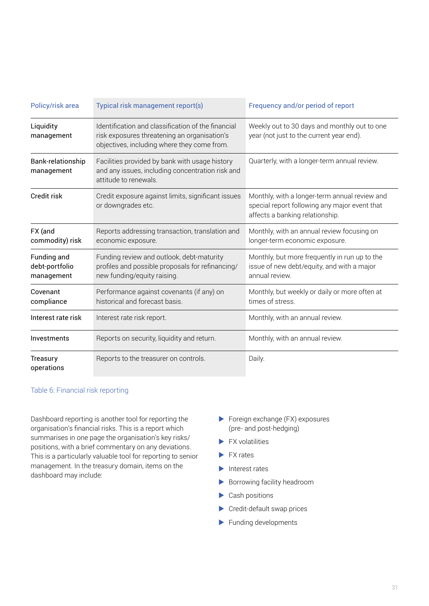| Policy/risk area                            | Typical risk management report(s)                                                                                                                 | Frequency and/or period of report                                                                                                 |  |
|---------------------------------------------|---------------------------------------------------------------------------------------------------------------------------------------------------|-----------------------------------------------------------------------------------------------------------------------------------|--|
| Liquidity<br>management                     | Identification and classification of the financial<br>risk exposures threatening an organisation's<br>objectives, including where they come from. | Weekly out to 30 days and monthly out to one<br>year (not just to the current year end).                                          |  |
| Bank-relationship<br>management             | Facilities provided by bank with usage history<br>and any issues, including concentration risk and<br>attitude to renewals.                       | Quarterly, with a longer-term annual review.                                                                                      |  |
| Credit risk                                 | Credit exposure against limits, significant issues<br>or downgrades etc.                                                                          | Monthly, with a longer-term annual review and<br>special report following any major event that<br>affects a banking relationship. |  |
| FX (and<br>commodity) risk                  | Reports addressing transaction, translation and<br>economic exposure.                                                                             | Monthly, with an annual review focusing on<br>longer-term economic exposure.                                                      |  |
| Funding and<br>debt-portfolio<br>management | Funding review and outlook, debt-maturity<br>profiles and possible proposals for refinancing/<br>new funding/equity raising.                      | Monthly, but more frequently in run up to the<br>issue of new debt/equity, and with a major<br>annual review.                     |  |
| Covenant<br>compliance                      | Performance against covenants (if any) on<br>historical and forecast basis.                                                                       | Monthly, but weekly or daily or more often at<br>times of stress.                                                                 |  |
| Interest rate risk                          | Interest rate risk report.                                                                                                                        | Monthly, with an annual review.                                                                                                   |  |
| Investments                                 | Reports on security, liquidity and return.                                                                                                        | Monthly, with an annual review.                                                                                                   |  |
| Treasury<br>operations                      | Reports to the treasurer on controls.                                                                                                             | Daily.                                                                                                                            |  |

#### Table 6: Financial risk reporting

Dashboard reporting is another tool for reporting the organisation's financial risks. This is a report which summarises in one page the organisation's key risks/ positions, with a brief commentary on any deviations. This is a particularly valuable tool for reporting to senior management. In the treasury domain, items on the dashboard may include:

- $\blacktriangleright$  Foreign exchange (FX) exposures (pre- and post-hedging)
- $\blacktriangleright$  FX volatilities
- $\blacktriangleright$  FX rates
- $\blacktriangleright$  Interest rates
- $\blacktriangleright$  Borrowing facility headroom
- $\blacktriangleright$  Cash positions
- $\blacktriangleright$  Credit-default swap prices
- $\blacktriangleright$  Funding developments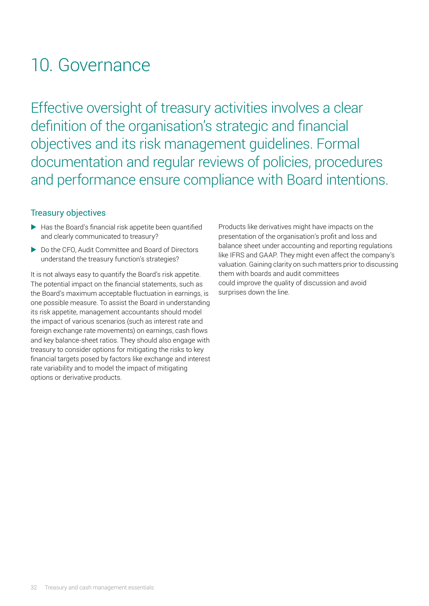### <span id="page-33-0"></span>10. Governance

Effective oversight of treasury activities involves a clear definition of the organisation's strategic and financial objectives and its risk management guidelines. Formal documentation and regular reviews of policies, procedures and performance ensure compliance with Board intentions.

#### Treasury objectives

- $\blacktriangleright$  Has the Board's financial risk appetite been quantified and clearly communicated to treasury?
- ▶ Do the CFO, Audit Committee and Board of Directors understand the treasury function's strategies?

It is not always easy to quantify the Board's risk appetite. The potential impact on the financial statements, such as the Board's maximum acceptable fluctuation in earnings, is one possible measure. To assist the Board in understanding its risk appetite, management accountants should model the impact of various scenarios (such as interest rate and foreign exchange rate movements) on earnings, cash flows and key balance-sheet ratios. They should also engage with treasury to consider options for mitigating the risks to key financial targets posed by factors like exchange and interest rate variability and to model the impact of mitigating options or derivative products.

Products like derivatives might have impacts on the presentation of the organisation's profit and loss and balance sheet under accounting and reporting regulations like IFRS and GAAP. They might even affect the company's valuation. Gaining clarity on such matters prior to discussing them with boards and audit committees could improve the quality of discussion and avoid surprises down the line.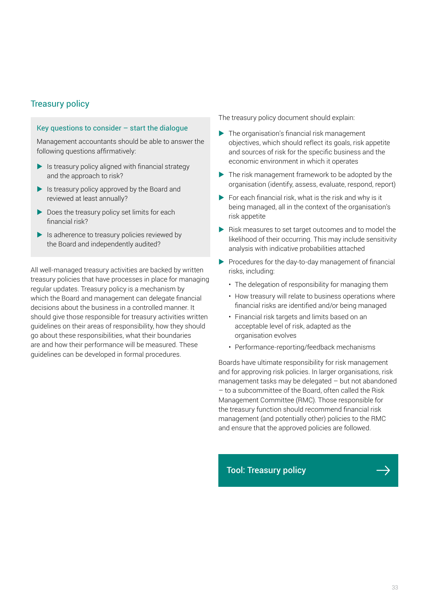#### Treasury policy

#### Key questions to consider – start the dialogue

Management accountants should be able to answer the following questions affirmatively:

- $\blacktriangleright$  Is treasury policy aligned with financial strategy and the approach to risk?
- $\blacktriangleright$  Is treasury policy approved by the Board and reviewed at least annually?
- $\blacktriangleright$  Does the treasury policy set limits for each financial risk?
- $\blacktriangleright$  Is adherence to treasury policies reviewed by the Board and independently audited?

All well-managed treasury activities are backed by written treasury policies that have processes in place for managing regular updates. Treasury policy is a mechanism by which the Board and management can delegate financial decisions about the business in a controlled manner. It should give those responsible for treasury activities written guidelines on their areas of responsibility, how they should go about these responsibilities, what their boundaries are and how their performance will be measured. These guidelines can be developed in formal procedures.

The treasury policy document should explain:

- $\blacktriangleright$  The organisation's financial risk management objectives, which should reflect its goals, risk appetite and sources of risk for the specific business and the economic environment in which it operates
- $\blacktriangleright$  The risk management framework to be adopted by the organisation (identify, assess, evaluate, respond, report)
- $\blacktriangleright$  For each financial risk, what is the risk and why is it being managed, all in the context of the organisation's risk appetite
- $\blacktriangleright$  Risk measures to set target outcomes and to model the likelihood of their occurring. This may include sensitivity analysis with indicative probabilities attached
- $\blacktriangleright$  Procedures for the day-to-day management of financial risks, including:
	- The delegation of responsibility for managing them
	- How treasury will relate to business operations where financial risks are identified and/or being managed
	- Financial risk targets and limits based on an acceptable level of risk, adapted as the organisation evolves
	- Performance-reporting/feedback mechanisms

Boards have ultimate responsibility for risk management and for approving risk policies. In larger organisations, risk management tasks may be delegated – but not abandoned – to a subcommittee of the Board, often called the Risk Management Committee (RMC). Those responsible for the treasury function should recommend financial risk management (and potentially other) policies to the RMC and ensure that the approved policies are followed.

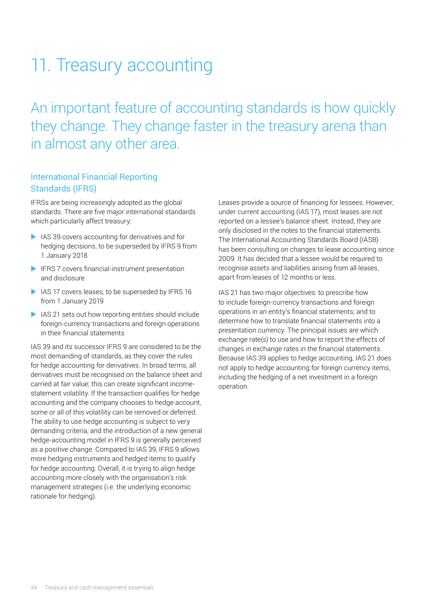# <span id="page-35-0"></span>11. Treasury accounting

An important feature of accounting standards is how quickly they change. They change faster in the treasury arena than in almost any other area.

#### International Financial Reporting Standards (IFRS)

IFRSs are being increasingly adopted as the global standards. There are five major international standards which particularly affect treasury:

- $\blacktriangleright$  IAS 39 covers accounting for derivatives and for hedging decisions, to be superseded by IFRS 9 from 1 January 2018
- $\blacktriangleright$  IFRS 7 covers financial-instrument presentation and disclosure
- $\blacktriangleright$  IAS 17 covers leases, to be superseded by IFRS 16 from 1 January 2019
- $\blacktriangleright$  IAS 21 sets out how reporting entities should include foreign-currency transactions and foreign operations in their financial statements

IAS 39 and its successor IFRS 9 are considered to be the most demanding of standards, as they cover the rules for hedge accounting for derivatives. In broad terms, all derivatives must be recognised on the balance sheet and carried at fair value; this can create significant incomestatement volatility. If the transaction qualifies for hedge accounting and the company chooses to hedge account, some or all of this volatility can be removed or deferred. The ability to use hedge accounting is subject to very demanding criteria, and the introduction of a new general hedge-accounting model in IFRS 9 is generally perceived as a positive change. Compared to IAS 39, IFRS 9 allows more hedging instruments and hedged items to qualify for hedge accounting. Overall, it is trying to align hedge accounting more closely with the organisation's risk management strategies (i.e. the underlying economic rationale for hedging).

Leases provide a source of financing for lessees. However, under current accounting (IAS 17), most leases are not reported on a lessee's balance sheet. Instead, they are only disclosed in the notes to the financial statements. The International Accounting Standards Board (IASB) has been consulting on changes to lease accounting since 2009. It has decided that a lessee would be required to recognise assets and liabilities arising from all leases, apart from leases of 12 months or less.

IAS 21 has two major objectives: to prescribe how to include foreign-currency transactions and foreign operations in an entity's financial statements; and to determine how to translate financial statements into a presentation currency. The principal issues are which exchange rate(s) to use and how to report the effects of changes in exchange rates in the financial statements. Because IAS 39 applies to hedge accounting, IAS 21 does not apply to hedge accounting for foreign currency items, including the hedging of a net investment in a foreign operation.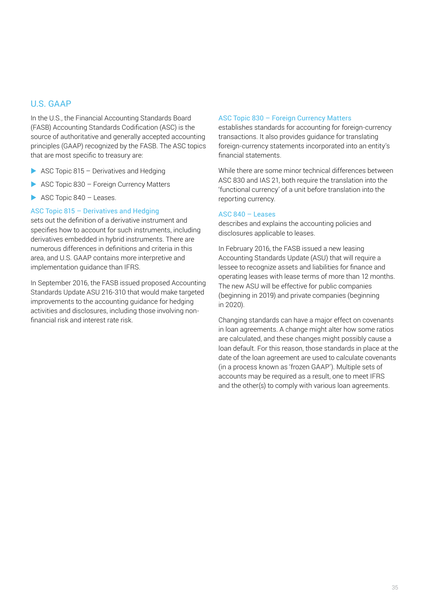#### U.S. GAAP

In the U.S., the Financial Accounting Standards Board (FASB) Accounting Standards Codification (ASC) is the source of authoritative and generally accepted accounting principles (GAAP) recognized by the FASB. The ASC topics that are most specific to treasury are:

- $\triangleright$  ASC Topic 815 Derivatives and Hedging
- $\triangleright$  ASC Topic 830 Foreign Currency Matters
- $\triangleright$  ASC Topic 840 Leases.

#### ASC Topic 815 – Derivatives and Hedging

sets out the definition of a derivative instrument and specifies how to account for such instruments, including derivatives embedded in hybrid instruments. There are numerous differences in definitions and criteria in this area, and U.S. GAAP contains more interpretive and implementation guidance than IFRS.

In September 2016, the FASB issued proposed Accounting Standards Update ASU 216-310 that would make targeted improvements to the accounting guidance for hedging activities and disclosures, including those involving nonfinancial risk and interest rate risk.

#### ASC Topic 830 – Foreign Currency Matters

establishes standards for accounting for foreign-currency transactions. It also provides guidance for translating foreign-currency statements incorporated into an entity's financial statements.

While there are some minor technical differences between ASC 830 and IAS 21, both require the translation into the 'functional currency' of a unit before translation into the reporting currency.

#### ASC 840 – Leases

describes and explains the accounting policies and disclosures applicable to leases.

In February 2016, the FASB issued a new leasing Accounting Standards Update (ASU) that will require a lessee to recognize assets and liabilities for finance and operating leases with lease terms of more than 12 months. The new ASU will be effective for public companies (beginning in 2019) and private companies (beginning in 2020).

Changing standards can have a major effect on covenants in loan agreements. A change might alter how some ratios are calculated, and these changes might possibly cause a loan default. For this reason, those standards in place at the date of the loan agreement are used to calculate covenants (in a process known as 'frozen GAAP'). Multiple sets of accounts may be required as a result, one to meet IFRS and the other(s) to comply with various loan agreements.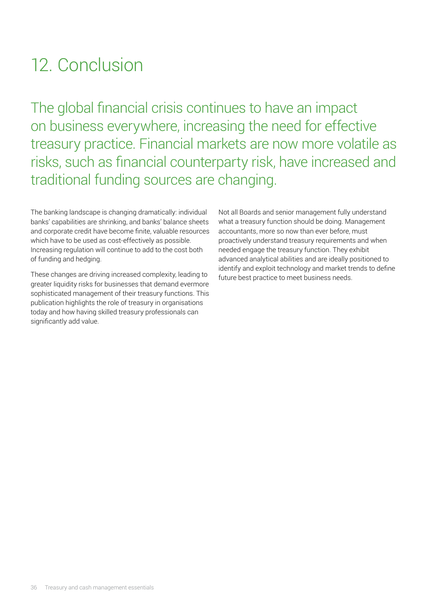# <span id="page-37-0"></span>12. Conclusion

The global financial crisis continues to have an impact on business everywhere, increasing the need for effective treasury practice. Financial markets are now more volatile as risks, such as financial counterparty risk, have increased and traditional funding sources are changing.

The banking landscape is changing dramatically: individual banks' capabilities are shrinking, and banks' balance sheets and corporate credit have become finite, valuable resources which have to be used as cost-effectively as possible. Increasing regulation will continue to add to the cost both of funding and hedging.

These changes are driving increased complexity, leading to greater liquidity risks for businesses that demand evermore sophisticated management of their treasury functions. This publication highlights the role of treasury in organisations today and how having skilled treasury professionals can significantly add value.

Not all Boards and senior management fully understand what a treasury function should be doing. Management accountants, more so now than ever before, must proactively understand treasury requirements and when needed engage the treasury function. They exhibit advanced analytical abilities and are ideally positioned to identify and exploit technology and market trends to define future best practice to meet business needs.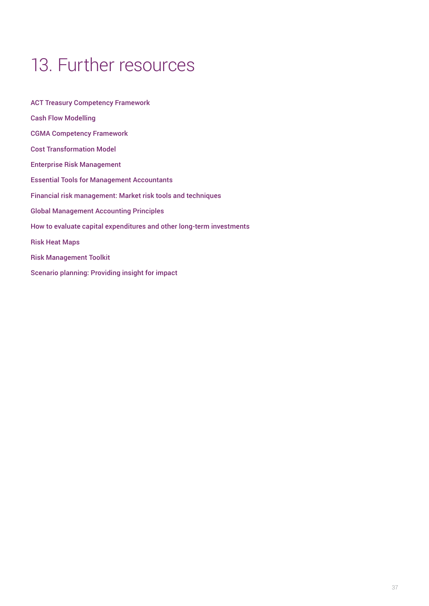# <span id="page-38-0"></span>13. Further resources

[ACT Treasury Competency Framework](https://www.treasurers.org/competencyframework) [Cash Flow Modelling](https://www.cgma.org/resources/tools/essential-tools/cash-flow-modelling.html) [CGMA Competency Framework](https://www.cgma.org/resources/tools/cgma-competency-framework.html) [Cost Transformation Model](https://www.cgma.org/resources/tools/cost-transformation-model.html) [Enterprise Risk Management](https://www.cgma.org/resources/tools/essential-tools/enterpise-risk-management.html) [Essential Tools for Management Accountants](https://www.cgma.org/resources/tools/essential-tools/list.html) [Financial risk management: Market risk tools and techniques](https://www.cgma.org/resources/tools/financial-risk-management.html) [Global Management Accounting Principles](https://www.cgma.org/resources/reports/globalmanagementaccountingprinciples.html) [How to evaluate capital expenditures and other long-term investments](https://www.cgma.org/resources/tools/evaluate-capital-long-term-investments.html) [Risk Heat Maps](https://www.cgma.org/resources/tools/essential-tools/risk-heat-maps.html) [Risk Management Toolkit](https://www.cgma.org/resources/tools/risk-management-toolkit.html) [Scenario planning: Providing insight for impact](https://www.cgma.org/resources/tools/scenario-planning.html)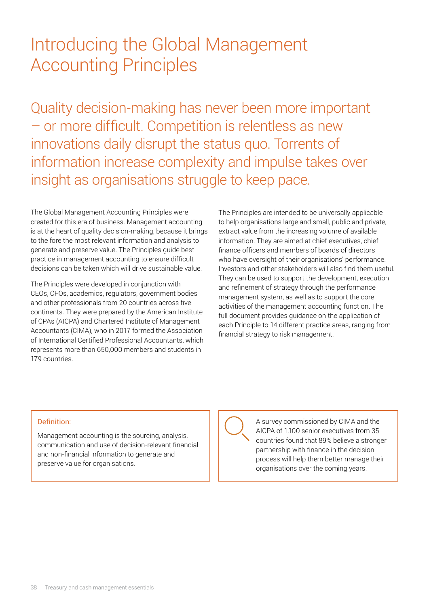## <span id="page-39-0"></span>Introducing the Global Management Accounting Principles

Quality decision-making has never been more important – or more difficult. Competition is relentless as new innovations daily disrupt the status quo. Torrents of information increase complexity and impulse takes over insight as organisations struggle to keep pace.

The Global Management Accounting Principles were created for this era of business. Management accounting is at the heart of quality decision-making, because it brings to the fore the most relevant information and analysis to generate and preserve value. The Principles guide best practice in management accounting to ensure difficult decisions can be taken which will drive sustainable value.

The Principles were developed in conjunction with CEOs, CFOs, academics, regulators, government bodies and other professionals from 20 countries across five continents. They were prepared by the American Institute of CPAs (AICPA) and Chartered Institute of Management Accountants (CIMA), who in 2017 formed the Association of International Certified Professional Accountants, which represents more than 650,000 members and students in 179 countries.

The Principles are intended to be universally applicable to help organisations large and small, public and private, extract value from the increasing volume of available information. They are aimed at chief executives, chief finance officers and members of boards of directors who have oversight of their organisations' performance. Investors and other stakeholders will also find them useful. They can be used to support the development, execution and refinement of strategy through the performance management system, as well as to support the core activities of the management accounting function. The full document provides guidance on the application of each Principle to 14 different practice areas, ranging from financial strategy to risk management.

#### Definition:

Management accounting is the sourcing, analysis, communication and use of decision-relevant financial and non-financial information to generate and preserve value for organisations.

A survey commissioned by CIMA and the AICPA of 1,100 senior executives from 35 countries found that 89% believe a stronger partnership with finance in the decision process will help them better manage their organisations over the coming years.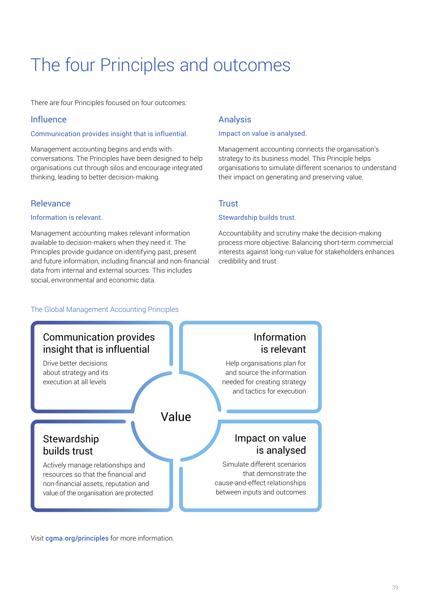# <span id="page-40-0"></span>The four Principles and outcomes

There are four Principles focused on four outcomes:

#### Influence

#### Communication provides insight that is influential.

Management accounting begins and ends with conversations. The Principles have been designed to help organisations cut through silos and encourage integrated thinking, leading to better decision-making.

#### Relevance

#### Information is relevant.

Management accounting makes relevant information available to decision-makers when they need it. The Principles provide guidance on identifying past, present and future information, including financial and non-financial data from internal and external sources. This includes social, environmental and economic data.

#### Analysis

#### Impact on value is analysed.

Management accounting connects the organisation's strategy to its business model. This Principle helps organisations to simulate different scenarios to understand their impact on generating and preserving value.

#### **Trust**

#### Stewardship builds trust.

Accountability and scrutiny make the decision-making process more objective. Balancing short-term commercial interests against long-run value for stakeholders enhances credibility and trust.

#### The Global Management Accounting Principles



Visit [cgma.org/principles](http://www.cgma.org/principles) for more information.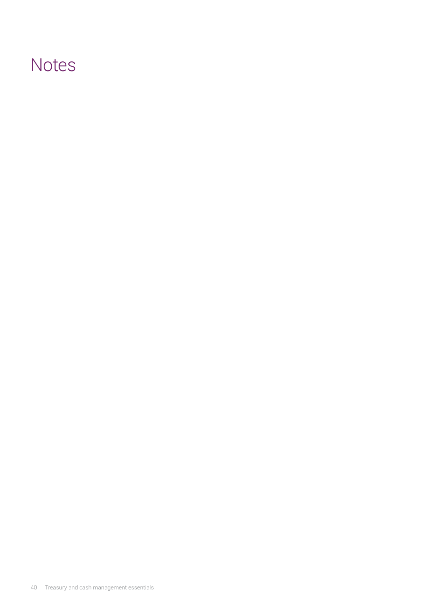### **Notes**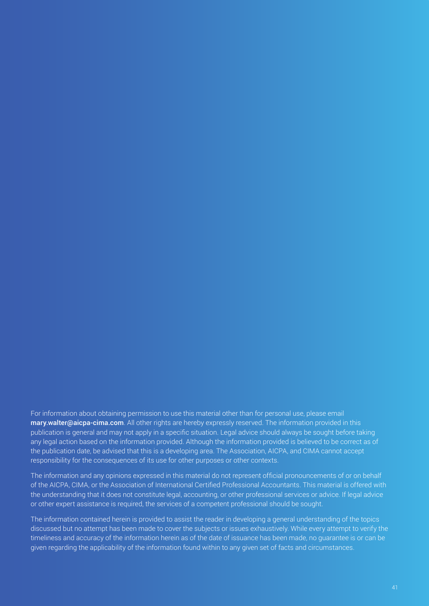For information about obtaining permission to use this material other than for personal use, please email [mary.walter@aicpa-cima.com](mailto:mary.walter%40aicpa-cima.com?subject=). All other rights are hereby expressly reserved. The information provided in this publication is general and may not apply in a specific situation. Legal advice should always be sought before taking any legal action based on the information provided. Although the information provided is believed to be correct as of the publication date, be advised that this is a developing area. The Association, AICPA, and CIMA cannot accept responsibility for the consequences of its use for other purposes or other contexts.

The information and any opinions expressed in this material do not represent official pronouncements of or on behalf of the AICPA, CIMA, or the Association of International Certified Professional Accountants. This material is offered with the understanding that it does not constitute legal, accounting, or other professional services or advice. If legal advice or other expert assistance is required, the services of a competent professional should be sought.

The information contained herein is provided to assist the reader in developing a general understanding of the topics discussed but no attempt has been made to cover the subjects or issues exhaustively. While every attempt to verify the timeliness and accuracy of the information herein as of the date of issuance has been made, no guarantee is or can be given regarding the applicability of the information found within to any given set of facts and circumstances.